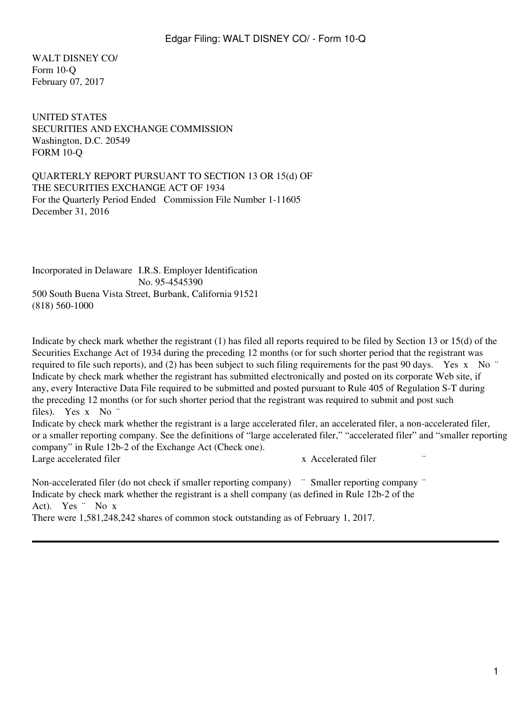WALT DISNEY CO/ Form 10-Q February 07, 2017

UNITED STATES SECURITIES AND EXCHANGE COMMISSION Washington, D.C. 20549 FORM 10-Q

QUARTERLY REPORT PURSUANT TO SECTION 13 OR 15(d) OF THE SECURITIES EXCHANGE ACT OF 1934 For the Quarterly Period Ended Commission File Number 1-11605 December 31, 2016

Incorporated in Delaware I.R.S. Employer Identification No. 95-4545390 500 South Buena Vista Street, Burbank, California 91521 (818) 560-1000

Indicate by check mark whether the registrant (1) has filed all reports required to be filed by Section 13 or 15(d) of the Securities Exchange Act of 1934 during the preceding 12 months (or for such shorter period that the registrant was required to file such reports), and (2) has been subject to such filing requirements for the past 90 days. Yes x No  $\degree$ Indicate by check mark whether the registrant has submitted electronically and posted on its corporate Web site, if any, every Interactive Data File required to be submitted and posted pursuant to Rule 405 of Regulation S-T during the preceding 12 months (or for such shorter period that the registrant was required to submit and post such files). Yes x No "

Indicate by check mark whether the registrant is a large accelerated filer, an accelerated filer, a non-accelerated filer, or a smaller reporting company. See the definitions of "large accelerated filer," "accelerated filer" and "smaller reporting company" in Rule 12b-2 of the Exchange Act (Check one). Large accelerated filer is a set of the set of the set of the set of the set of the set of the set of the set of the set of the set of the set of the set of the set of the set of the set of the set of the set of the set of

Non-accelerated filer (do not check if smaller reporting company) <sup>"</sup> Smaller reporting company " Indicate by check mark whether the registrant is a shell company (as defined in Rule 12b-2 of the Act). Yes ¨ No x

There were 1,581,248,242 shares of common stock outstanding as of February 1, 2017.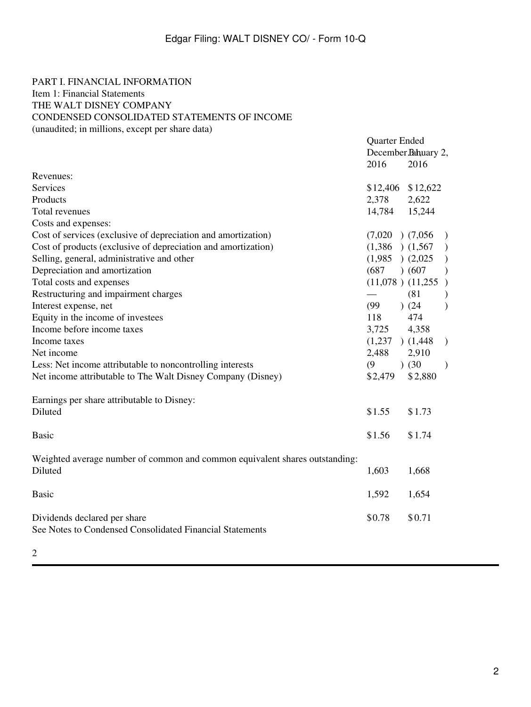## PART I. FINANCIAL INFORMATION Item 1: Financial Statements THE WALT DISNEY COMPANY CONDENSED CONSOLIDATED STATEMENTS OF INCOME (unaudited; in millions, except per share data)

| Services<br>\$12,406 \$12,622<br>2,378<br>2,622<br>14,784<br>15,244<br>Total revenues<br>Cost of services (exclusive of depreciation and amortization)<br>(7,056)<br>(7,020)<br>$\mathcal{F}$<br>Cost of products (exclusive of depreciation and amortization)<br>$(1,386)$ $(1,567)$<br>$\mathcal{L}$<br>Selling, general, administrative and other<br>$(1,985)$ $(2,025)$<br>$\mathcal{L}$<br>Depreciation and amortization<br>(687)<br>) (607)<br>Total costs and expenses<br>$(11,078)$ $(11,255)$<br>$\mathcal{E}$<br>Restructuring and impairment charges<br>(81)<br>(99)<br>)(24)<br>$\mathcal{)}$<br>Equity in the income of investees<br>474<br>118<br>3,725<br>4,358<br>$(1,237)$ $(1,448)$<br>$\lambda$<br>2,488<br>2,910<br>(9)<br>) (30)<br>$\mathcal{L}$<br>\$2,479<br>\$2,880<br>Diluted<br>\$1.55<br>\$1.73<br><b>Basic</b><br>\$1.74<br>\$1.56<br>Weighted average number of common and common equivalent shares outstanding:<br>Diluted<br>1,603<br>1,668<br>1,592<br>1,654<br>\$0.78<br>\$0.71<br>See Notes to Condensed Consolidated Financial Statements |                                                             | Quarter Ended<br>2016 | December Bahuary 2,<br>2016 |  |
|-------------------------------------------------------------------------------------------------------------------------------------------------------------------------------------------------------------------------------------------------------------------------------------------------------------------------------------------------------------------------------------------------------------------------------------------------------------------------------------------------------------------------------------------------------------------------------------------------------------------------------------------------------------------------------------------------------------------------------------------------------------------------------------------------------------------------------------------------------------------------------------------------------------------------------------------------------------------------------------------------------------------------------------------------------------------------------|-------------------------------------------------------------|-----------------------|-----------------------------|--|
|                                                                                                                                                                                                                                                                                                                                                                                                                                                                                                                                                                                                                                                                                                                                                                                                                                                                                                                                                                                                                                                                               | Revenues:                                                   |                       |                             |  |
|                                                                                                                                                                                                                                                                                                                                                                                                                                                                                                                                                                                                                                                                                                                                                                                                                                                                                                                                                                                                                                                                               |                                                             |                       |                             |  |
|                                                                                                                                                                                                                                                                                                                                                                                                                                                                                                                                                                                                                                                                                                                                                                                                                                                                                                                                                                                                                                                                               | Products                                                    |                       |                             |  |
|                                                                                                                                                                                                                                                                                                                                                                                                                                                                                                                                                                                                                                                                                                                                                                                                                                                                                                                                                                                                                                                                               |                                                             |                       |                             |  |
|                                                                                                                                                                                                                                                                                                                                                                                                                                                                                                                                                                                                                                                                                                                                                                                                                                                                                                                                                                                                                                                                               | Costs and expenses:                                         |                       |                             |  |
|                                                                                                                                                                                                                                                                                                                                                                                                                                                                                                                                                                                                                                                                                                                                                                                                                                                                                                                                                                                                                                                                               |                                                             |                       |                             |  |
|                                                                                                                                                                                                                                                                                                                                                                                                                                                                                                                                                                                                                                                                                                                                                                                                                                                                                                                                                                                                                                                                               |                                                             |                       |                             |  |
|                                                                                                                                                                                                                                                                                                                                                                                                                                                                                                                                                                                                                                                                                                                                                                                                                                                                                                                                                                                                                                                                               |                                                             |                       |                             |  |
|                                                                                                                                                                                                                                                                                                                                                                                                                                                                                                                                                                                                                                                                                                                                                                                                                                                                                                                                                                                                                                                                               |                                                             |                       |                             |  |
|                                                                                                                                                                                                                                                                                                                                                                                                                                                                                                                                                                                                                                                                                                                                                                                                                                                                                                                                                                                                                                                                               |                                                             |                       |                             |  |
|                                                                                                                                                                                                                                                                                                                                                                                                                                                                                                                                                                                                                                                                                                                                                                                                                                                                                                                                                                                                                                                                               |                                                             |                       |                             |  |
|                                                                                                                                                                                                                                                                                                                                                                                                                                                                                                                                                                                                                                                                                                                                                                                                                                                                                                                                                                                                                                                                               | Interest expense, net                                       |                       |                             |  |
|                                                                                                                                                                                                                                                                                                                                                                                                                                                                                                                                                                                                                                                                                                                                                                                                                                                                                                                                                                                                                                                                               |                                                             |                       |                             |  |
|                                                                                                                                                                                                                                                                                                                                                                                                                                                                                                                                                                                                                                                                                                                                                                                                                                                                                                                                                                                                                                                                               | Income before income taxes                                  |                       |                             |  |
|                                                                                                                                                                                                                                                                                                                                                                                                                                                                                                                                                                                                                                                                                                                                                                                                                                                                                                                                                                                                                                                                               | Income taxes                                                |                       |                             |  |
|                                                                                                                                                                                                                                                                                                                                                                                                                                                                                                                                                                                                                                                                                                                                                                                                                                                                                                                                                                                                                                                                               | Net income                                                  |                       |                             |  |
|                                                                                                                                                                                                                                                                                                                                                                                                                                                                                                                                                                                                                                                                                                                                                                                                                                                                                                                                                                                                                                                                               | Less: Net income attributable to noncontrolling interests   |                       |                             |  |
|                                                                                                                                                                                                                                                                                                                                                                                                                                                                                                                                                                                                                                                                                                                                                                                                                                                                                                                                                                                                                                                                               | Net income attributable to The Walt Disney Company (Disney) |                       |                             |  |
|                                                                                                                                                                                                                                                                                                                                                                                                                                                                                                                                                                                                                                                                                                                                                                                                                                                                                                                                                                                                                                                                               | Earnings per share attributable to Disney:                  |                       |                             |  |
|                                                                                                                                                                                                                                                                                                                                                                                                                                                                                                                                                                                                                                                                                                                                                                                                                                                                                                                                                                                                                                                                               |                                                             |                       |                             |  |
|                                                                                                                                                                                                                                                                                                                                                                                                                                                                                                                                                                                                                                                                                                                                                                                                                                                                                                                                                                                                                                                                               |                                                             |                       |                             |  |
|                                                                                                                                                                                                                                                                                                                                                                                                                                                                                                                                                                                                                                                                                                                                                                                                                                                                                                                                                                                                                                                                               |                                                             |                       |                             |  |
|                                                                                                                                                                                                                                                                                                                                                                                                                                                                                                                                                                                                                                                                                                                                                                                                                                                                                                                                                                                                                                                                               | <b>Basic</b>                                                |                       |                             |  |
|                                                                                                                                                                                                                                                                                                                                                                                                                                                                                                                                                                                                                                                                                                                                                                                                                                                                                                                                                                                                                                                                               | Dividends declared per share                                |                       |                             |  |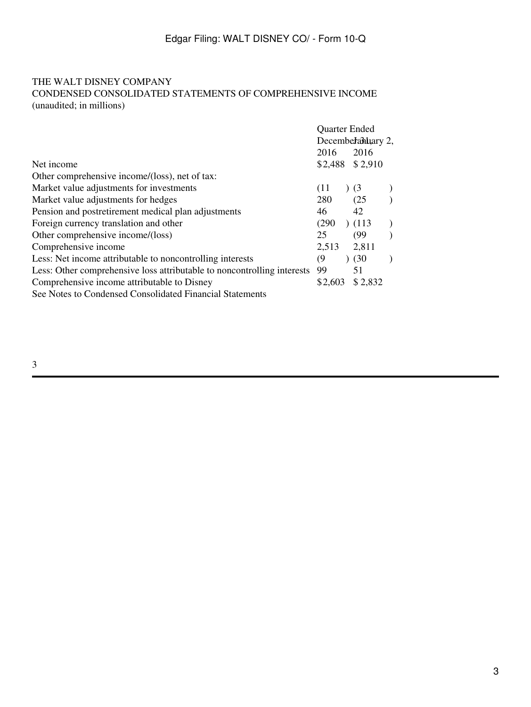#### THE WALT DISNEY COMPANY CONDENSED CONSOLIDATED STATEMENTS OF COMPREHENSIVE INCOME (unaudited; in millions)

|                                                                         | <b>Quarter Ended</b> |         |  |
|-------------------------------------------------------------------------|----------------------|---------|--|
|                                                                         | Decemberant lary 2,  |         |  |
|                                                                         | 2016                 | 2016    |  |
| Net income                                                              | \$2,488 \$2,910      |         |  |
| Other comprehensive income/(loss), net of tax:                          |                      |         |  |
| Market value adjustments for investments                                | (11)<br>)(3)         |         |  |
| Market value adjustments for hedges                                     | 280                  | (25)    |  |
| Pension and postretirement medical plan adjustments                     | 46                   | 42      |  |
| Foreign currency translation and other                                  | (290)                | (113)   |  |
| Other comprehensive income/(loss)                                       | 25                   | (99)    |  |
| Comprehensive income                                                    | 2,513                | 2,811   |  |
| Less: Net income attributable to noncontrolling interests               | (9                   | (30)    |  |
| Less: Other comprehensive loss attributable to noncontrolling interests | 99                   | 51      |  |
| Comprehensive income attributable to Disney                             | \$2,603              | \$2,832 |  |
| See Notes to Condensed Consolidated Financial Statements                |                      |         |  |
|                                                                         |                      |         |  |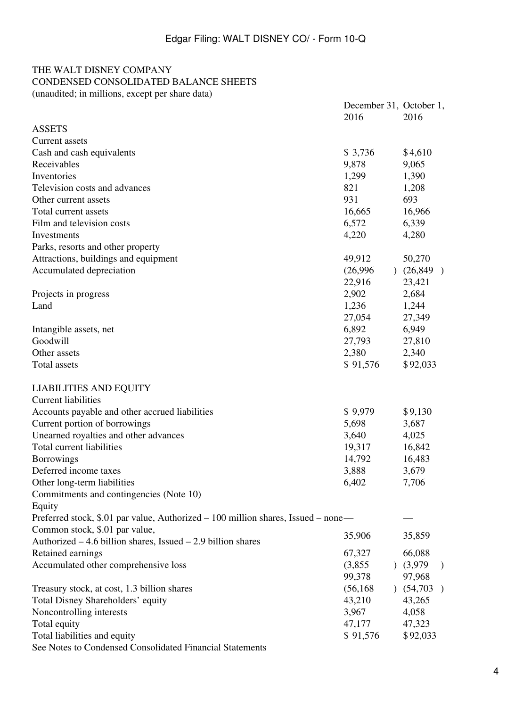## THE WALT DISNEY COMPANY CONDENSED CONSOLIDATED BALANCE SHEETS (unaudited; in millions, except per share data)

|                                                                                   | December 31, October 1, |                          |  |
|-----------------------------------------------------------------------------------|-------------------------|--------------------------|--|
|                                                                                   | 2016                    | 2016                     |  |
| <b>ASSETS</b>                                                                     |                         |                          |  |
| Current assets                                                                    |                         |                          |  |
| Cash and cash equivalents                                                         | \$3,736                 | \$4,610                  |  |
| Receivables                                                                       | 9,878                   | 9,065                    |  |
| Inventories                                                                       | 1,299                   | 1,390                    |  |
| Television costs and advances                                                     | 821                     | 1,208                    |  |
| Other current assets                                                              | 931                     | 693                      |  |
| Total current assets                                                              | 16,665                  | 16,966                   |  |
| Film and television costs                                                         | 6,572                   | 6,339                    |  |
| Investments                                                                       | 4,220                   | 4,280                    |  |
| Parks, resorts and other property                                                 |                         |                          |  |
| Attractions, buildings and equipment                                              | 49,912                  | 50,270                   |  |
| Accumulated depreciation                                                          | (26,996)                | (26,849)                 |  |
|                                                                                   | 22,916                  | 23,421                   |  |
| Projects in progress                                                              | 2,902                   | 2,684                    |  |
| Land                                                                              | 1,236                   | 1,244                    |  |
|                                                                                   | 27,054                  | 27,349                   |  |
| Intangible assets, net                                                            | 6,892                   | 6,949                    |  |
| Goodwill                                                                          | 27,793                  | 27,810                   |  |
| Other assets                                                                      | 2,380                   | 2,340                    |  |
| Total assets                                                                      | \$91,576                | \$92,033                 |  |
|                                                                                   |                         |                          |  |
| <b>LIABILITIES AND EQUITY</b>                                                     |                         |                          |  |
| <b>Current liabilities</b>                                                        |                         |                          |  |
| Accounts payable and other accrued liabilities                                    | \$9,979                 | \$9,130                  |  |
| Current portion of borrowings                                                     | 5,698                   | 3,687                    |  |
| Unearned royalties and other advances                                             | 3,640                   | 4,025                    |  |
| Total current liabilities                                                         | 19,317                  | 16,842                   |  |
| <b>Borrowings</b>                                                                 | 14,792                  | 16,483                   |  |
| Deferred income taxes                                                             | 3,888                   | 3,679                    |  |
| Other long-term liabilities                                                       | 6,402                   | 7,706                    |  |
| Commitments and contingencies (Note 10)                                           |                         |                          |  |
| Equity                                                                            |                         |                          |  |
| Preferred stock, \$.01 par value, Authorized - 100 million shares, Issued - none- |                         |                          |  |
| Common stock, \$.01 par value,                                                    |                         |                          |  |
| Authorized $-4.6$ billion shares, Issued $-2.9$ billion shares                    | 35,906                  | 35,859                   |  |
| Retained earnings                                                                 | 67,327                  | 66,088                   |  |
| Accumulated other comprehensive loss                                              | (3,855)                 | (3,979)<br>$\mathcal{E}$ |  |
|                                                                                   | 99,378                  | 97,968                   |  |
| Treasury stock, at cost, 1.3 billion shares                                       | (56, 168)               | (54,703)                 |  |
| Total Disney Shareholders' equity                                                 | 43,210                  | 43,265                   |  |
|                                                                                   | 3,967                   | 4,058                    |  |
| Noncontrolling interests                                                          |                         |                          |  |
| Total equity                                                                      | 47,177                  | 47,323                   |  |
| Total liabilities and equity                                                      | \$91,576                | \$92,033                 |  |
| See Notes to Condensed Consolidated Financial Statements                          |                         |                          |  |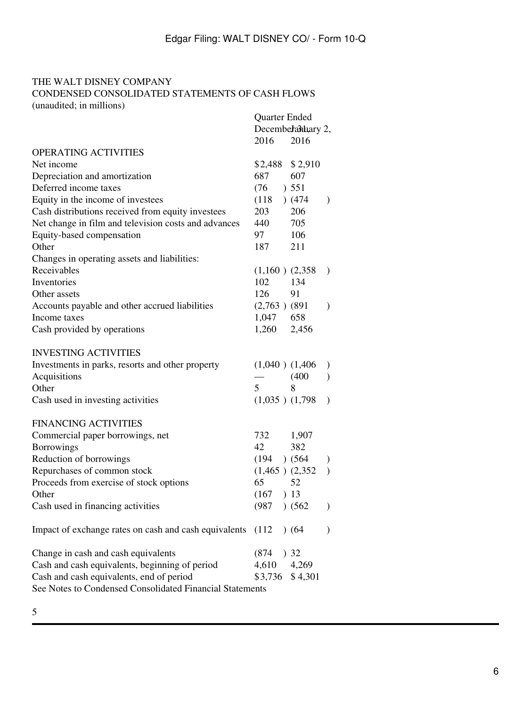#### THE WALT DISNEY COMPANY CONDENSED CONSOLIDATED STATEMENTS OF CASH FLOWS (unaudited; in millions)

|                                                             | 2016                | Quarter Ended<br>Decemberanduary 2,<br>2016 |               |  |  |
|-------------------------------------------------------------|---------------------|---------------------------------------------|---------------|--|--|
| OPERATING ACTIVITIES                                        |                     |                                             |               |  |  |
| Net income                                                  | \$2,488             | \$2,910                                     |               |  |  |
| Depreciation and amortization                               | 687                 | 607                                         |               |  |  |
| Deferred income taxes                                       | $(76)$ $551$        |                                             |               |  |  |
| Equity in the income of investees                           | $(118)$ $(474)$     |                                             | $\mathcal{E}$ |  |  |
| Cash distributions received from equity investees           | 203                 | 206                                         |               |  |  |
| Net change in film and television costs and advances        | 440                 | 705                                         |               |  |  |
| Equity-based compensation                                   | 97 — 10             | 106                                         |               |  |  |
| Other                                                       | 187                 | 211                                         |               |  |  |
| Changes in operating assets and liabilities:                |                     |                                             |               |  |  |
| Receivables                                                 | $(1,160)$ $(2,358)$ |                                             | $\mathcal{E}$ |  |  |
| Inventories                                                 | 102                 | 134                                         |               |  |  |
| Other assets                                                | 126                 | 91                                          |               |  |  |
| Accounts payable and other accrued liabilities              | $(2,763)$ (891)     |                                             | $\mathcal{L}$ |  |  |
| Income taxes                                                | 1,047 658           |                                             |               |  |  |
| Cash provided by operations                                 | 1,260               | 2,456                                       |               |  |  |
| <b>INVESTING ACTIVITIES</b>                                 |                     |                                             |               |  |  |
| Investments in parks, resorts and other property            | $(1,040)$ $(1,406)$ |                                             | $\mathcal{L}$ |  |  |
| Acquisitions                                                |                     | (400)                                       | $\mathcal{E}$ |  |  |
| Other                                                       | 5 <sup>5</sup>      | 8                                           |               |  |  |
| Cash used in investing activities                           | $(1,035)$ $(1,798)$ |                                             | $\mathcal{L}$ |  |  |
| <b>FINANCING ACTIVITIES</b>                                 |                     |                                             |               |  |  |
| Commercial paper borrowings, net                            | 732                 | 1,907                                       |               |  |  |
| <b>Borrowings</b>                                           | 42                  | 382                                         |               |  |  |
| Reduction of borrowings                                     | $(194)$ $(564)$     |                                             | $\mathcal{E}$ |  |  |
| Repurchases of common stock                                 | $(1,465)$ $(2,352)$ |                                             | $\mathcal{L}$ |  |  |
| Proceeds from exercise of stock options                     | 65 — 10             | 52                                          |               |  |  |
| Other                                                       | $(167)$ 13          |                                             |               |  |  |
| Cash used in financing activities                           | $(987)$ $(562)$     |                                             | $\mathcal{E}$ |  |  |
| Impact of exchange rates on cash and cash equivalents (112) |                     | (64)                                        | $\mathcal{E}$ |  |  |
| Change in cash and cash equivalents                         | (874)               | 32                                          |               |  |  |
| Cash and cash equivalents, beginning of period              | 4,610               | 4,269                                       |               |  |  |
| Cash and cash equivalents, end of period                    | \$3,736             | \$4,301                                     |               |  |  |
| See Notes to Condensed Consolidated Financial Statements    |                     |                                             |               |  |  |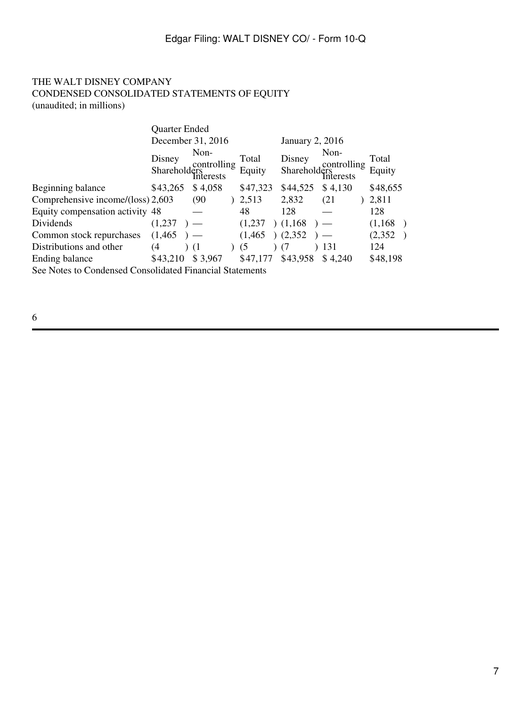# THE WALT DISNEY COMPANY CONDENSED CONSOLIDATED STATEMENTS OF EQUITY (unaudited; in millions)

|                                                          | <b>Quarter Ended</b>   |                                         |                 |                                     |                     |                 |
|----------------------------------------------------------|------------------------|-----------------------------------------|-----------------|-------------------------------------|---------------------|-----------------|
|                                                          | December 31, 2016      |                                         |                 | <b>January 2, 2016</b>              |                     |                 |
|                                                          | Disney<br>Shareholders | Non-<br>controlling<br><i>Interests</i> | Total<br>Equity | Disney<br>Shareholders<br>Interests | Non-<br>controlling | Total<br>Equity |
| Beginning balance                                        | \$43,265               | \$4,058                                 | \$47,323        | \$44,525                            | \$4,130             | \$48,655        |
| Comprehensive income/(loss) 2,603                        |                        | (90)                                    | 2,513           | 2,832                               | (21)                | 2,811           |
| Equity compensation activity 48                          |                        |                                         | 48              | 128                                 |                     | 128             |
| Dividends                                                | (1,237)                |                                         | (1,237)         | (1,168)                             |                     | (1, 168)        |
| Common stock repurchases                                 | (1,465)                |                                         | (1,465)         | (2,352)                             |                     | (2, 352)        |
| Distributions and other                                  | (4                     | (1)                                     | (5)             | (7)                                 | 131                 | 124             |
| Ending balance                                           | \$43,210               | \$3,967                                 | \$47,177        | \$43,958                            | \$4,240             | \$48,198        |
| See Notes to Condensed Consolidated Financial Statements |                        |                                         |                 |                                     |                     |                 |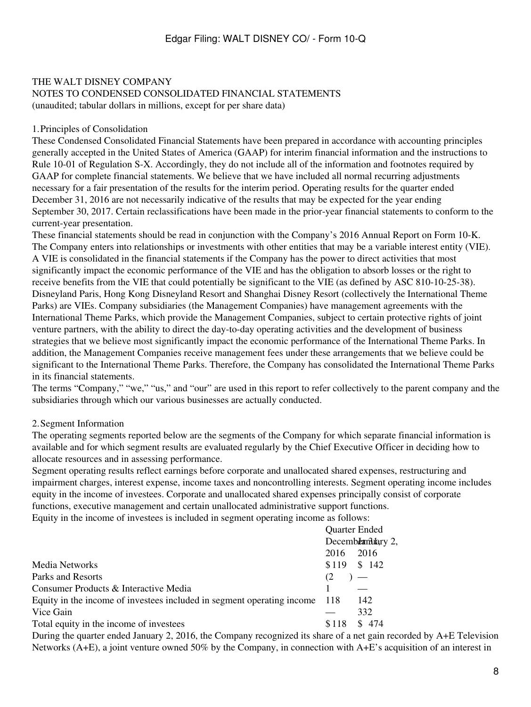## THE WALT DISNEY COMPANY NOTES TO CONDENSED CONSOLIDATED FINANCIAL STATEMENTS (unaudited; tabular dollars in millions, except for per share data)

#### 1.Principles of Consolidation

These Condensed Consolidated Financial Statements have been prepared in accordance with accounting principles generally accepted in the United States of America (GAAP) for interim financial information and the instructions to Rule 10-01 of Regulation S-X. Accordingly, they do not include all of the information and footnotes required by GAAP for complete financial statements. We believe that we have included all normal recurring adjustments necessary for a fair presentation of the results for the interim period. Operating results for the quarter ended December 31, 2016 are not necessarily indicative of the results that may be expected for the year ending September 30, 2017. Certain reclassifications have been made in the prior-year financial statements to conform to the current-year presentation.

These financial statements should be read in conjunction with the Company's 2016 Annual Report on Form 10-K. The Company enters into relationships or investments with other entities that may be a variable interest entity (VIE). A VIE is consolidated in the financial statements if the Company has the power to direct activities that most significantly impact the economic performance of the VIE and has the obligation to absorb losses or the right to receive benefits from the VIE that could potentially be significant to the VIE (as defined by ASC 810-10-25-38). Disneyland Paris, Hong Kong Disneyland Resort and Shanghai Disney Resort (collectively the International Theme Parks) are VIEs. Company subsidiaries (the Management Companies) have management agreements with the International Theme Parks, which provide the Management Companies, subject to certain protective rights of joint venture partners, with the ability to direct the day-to-day operating activities and the development of business strategies that we believe most significantly impact the economic performance of the International Theme Parks. In addition, the Management Companies receive management fees under these arrangements that we believe could be significant to the International Theme Parks. Therefore, the Company has consolidated the International Theme Parks in its financial statements.

The terms "Company," "we," "us," and "our" are used in this report to refer collectively to the parent company and the subsidiaries through which our various businesses are actually conducted.

#### 2.Segment Information

The operating segments reported below are the segments of the Company for which separate financial information is available and for which segment results are evaluated regularly by the Chief Executive Officer in deciding how to allocate resources and in assessing performance.

Segment operating results reflect earnings before corporate and unallocated shared expenses, restructuring and impairment charges, interest expense, income taxes and noncontrolling interests. Segment operating income includes equity in the income of investees. Corporate and unallocated shared expenses principally consist of corporate functions, executive management and certain unallocated administrative support functions.

Equity in the income of investees is included in segment operating income as follows:

|                                                                                              | Quarter Ended |                   |
|----------------------------------------------------------------------------------------------|---------------|-------------------|
|                                                                                              |               | Decembermilary 2, |
|                                                                                              | 2016          | 2016              |
| Media Networks                                                                               | \$119         | \$142             |
| Parks and Resorts                                                                            | (2)           |                   |
| Consumer Products & Interactive Media                                                        |               |                   |
| Equity in the income of investees included in segment operating income 118                   |               | 142               |
| Vice Gain                                                                                    |               | 332               |
| Total equity in the income of investees                                                      | \$118         | \$474             |
| During the querter ended Jenuary 2, 2016, the Company recognized its share of a not goin req |               |                   |

During the quarter ended January 2, 2016, the Company recognized its share of a net gain recorded by A+E Television Networks (A+E), a joint venture owned 50% by the Company, in connection with A+E's acquisition of an interest in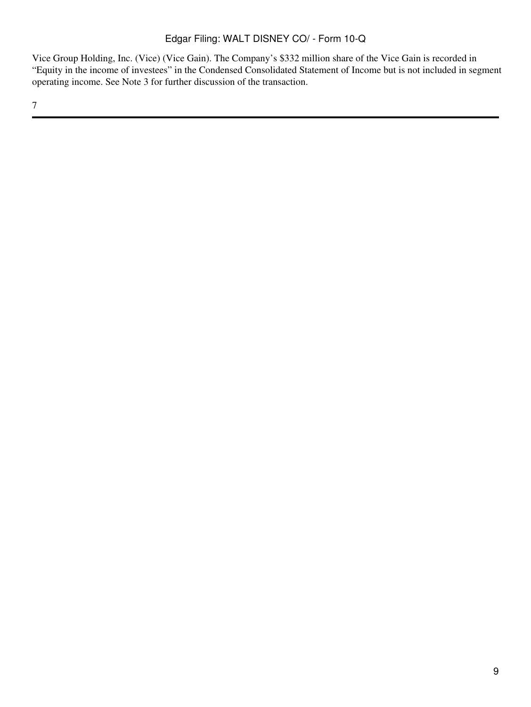Vice Group Holding, Inc. (Vice) (Vice Gain). The Company's \$332 million share of the Vice Gain is recorded in "Equity in the income of investees" in the Condensed Consolidated Statement of Income but is not included in segment operating income. See Note 3 for further discussion of the transaction.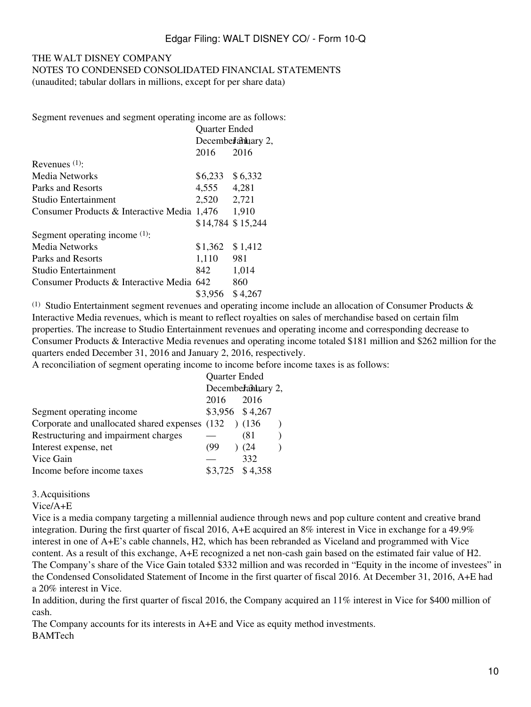#### THE WALT DISNEY COMPANY NOTES TO CONDENSED CONSOLIDATED FINANCIAL STATEMENTS (unaudited; tabular dollars in millions, except for per share data)

Segment revenues and segment operating income are as follows:

|                                             | Quarter Ended   |                   |  |
|---------------------------------------------|-----------------|-------------------|--|
|                                             | Decemberably 2, |                   |  |
|                                             | 2016            | 2016              |  |
| Revenues $(1)$ :                            |                 |                   |  |
| Media Networks                              | \$6,233         | \$6,332           |  |
| Parks and Resorts                           | 4,555           | 4,281             |  |
| Studio Entertainment                        | 2,520           | 2,721             |  |
| Consumer Products & Interactive Media 1.476 |                 | 1,910             |  |
|                                             |                 | \$14,784 \$15,244 |  |
| Segment operating income $(1)$ :            |                 |                   |  |
| Media Networks                              | \$1,362         | \$1,412           |  |
| Parks and Resorts                           | 1,110           | 981               |  |
| Studio Entertainment                        | 842             | 1,014             |  |
| Consumer Products & Interactive Media 642   |                 | 860               |  |
|                                             | \$3.956         | \$4.267           |  |

(1) Studio Entertainment segment revenues and operating income include an allocation of Consumer Products  $\&$ Interactive Media revenues, which is meant to reflect royalties on sales of merchandise based on certain film properties. The increase to Studio Entertainment revenues and operating income and corresponding decrease to Consumer Products & Interactive Media revenues and operating income totaled \$181 million and \$262 million for the quarters ended December 31, 2016 and January 2, 2016, respectively.

A reconciliation of segment operating income to income before income taxes is as follows:

|                                                         | Quarter Ended       |      |  |
|---------------------------------------------------------|---------------------|------|--|
|                                                         | Decemberant lary 2, |      |  |
|                                                         | 2016                | 2016 |  |
| Segment operating income                                | \$3,956 \$4,267     |      |  |
| Corporate and unallocated shared expenses $(132)$ (136) |                     |      |  |
| Restructuring and impairment charges                    |                     | (81  |  |
| Interest expense, net                                   | (99                 | (24) |  |
| Vice Gain                                               |                     | 332  |  |
| Income before income taxes                              | \$3,725 \$4,358     |      |  |

#### 3.Acquisitions

Vice/A+E

Vice is a media company targeting a millennial audience through news and pop culture content and creative brand integration. During the first quarter of fiscal 2016, A+E acquired an 8% interest in Vice in exchange for a 49.9% interest in one of A+E's cable channels, H2, which has been rebranded as Viceland and programmed with Vice content. As a result of this exchange, A+E recognized a net non-cash gain based on the estimated fair value of H2. The Company's share of the Vice Gain totaled \$332 million and was recorded in "Equity in the income of investees" in the Condensed Consolidated Statement of Income in the first quarter of fiscal 2016. At December 31, 2016, A+E had a 20% interest in Vice.

In addition, during the first quarter of fiscal 2016, the Company acquired an 11% interest in Vice for \$400 million of cash.

The Company accounts for its interests in A+E and Vice as equity method investments. BAMTech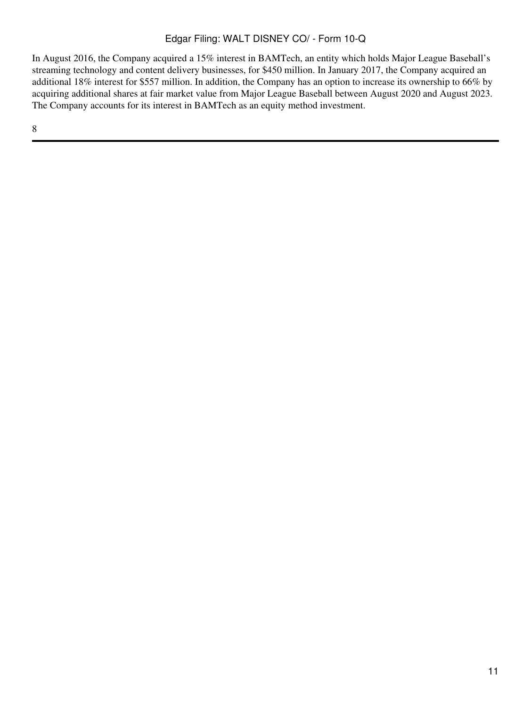In August 2016, the Company acquired a 15% interest in BAMTech, an entity which holds Major League Baseball's streaming technology and content delivery businesses, for \$450 million. In January 2017, the Company acquired an additional 18% interest for \$557 million. In addition, the Company has an option to increase its ownership to 66% by acquiring additional shares at fair market value from Major League Baseball between August 2020 and August 2023. The Company accounts for its interest in BAMTech as an equity method investment.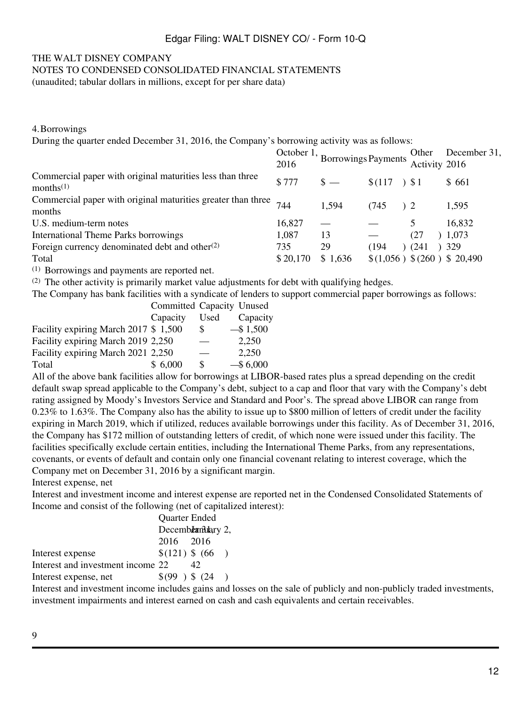## THE WALT DISNEY COMPANY

NOTES TO CONDENSED CONSOLIDATED FINANCIAL STATEMENTS

(unaudited; tabular dollars in millions, except for per share data)

4.Borrowings

During the quarter ended December 31, 2016, the Company's borrowing activity was as follows:

| 2016     |         |       | Activity 2016 | December 31,                                                                                                         |
|----------|---------|-------|---------------|----------------------------------------------------------------------------------------------------------------------|
| \$777    | $s =$   |       |               | \$661                                                                                                                |
|          | 1,594   | (745  |               | 1,595                                                                                                                |
| 16,827   |         |       |               | 16,832                                                                                                               |
| 1,087    | 13      |       | (27           | 1,073                                                                                                                |
| 735      | 29      | (194) |               | 329                                                                                                                  |
| \$20,170 | \$1,636 |       |               |                                                                                                                      |
|          | 744     |       |               | October 1, Borrowings Payments<br>Other<br>$$(117 \t) $1$<br>$\frac{2}{2}$<br>(241)<br>\$(1,056) \$(260) \$ \$20,490 |

(1) Borrowings and payments are reported net.

 $(2)$  The other activity is primarily market value adjustments for debt with qualifying hedges.

The Company has bank facilities with a syndicate of lenders to support commercial paper borrowings as follows:

|                                      | Committed Capacity Unused |      |             |
|--------------------------------------|---------------------------|------|-------------|
|                                      | Capacity                  | Used | Capacity    |
| Facility expiring March 2017 \$1,500 |                           | S    | $-$ \$1,500 |
| Facility expiring March 2019 2,250   |                           |      | 2,250       |
| Facility expiring March 2021 2,250   |                           |      | 2,250       |
| Total                                | \$6,000                   | S    | $-$ \$6,000 |

All of the above bank facilities allow for borrowings at LIBOR-based rates plus a spread depending on the credit default swap spread applicable to the Company's debt, subject to a cap and floor that vary with the Company's debt rating assigned by Moody's Investors Service and Standard and Poor's. The spread above LIBOR can range from 0.23% to 1.63%. The Company also has the ability to issue up to \$800 million of letters of credit under the facility expiring in March 2019, which if utilized, reduces available borrowings under this facility. As of December 31, 2016, the Company has \$172 million of outstanding letters of credit, of which none were issued under this facility. The facilities specifically exclude certain entities, including the International Theme Parks, from any representations, covenants, or events of default and contain only one financial covenant relating to interest coverage, which the Company met on December 31, 2016 by a significant margin.

Interest expense, net

Interest and investment income and interest expense are reported net in the Condensed Consolidated Statements of Income and consist of the following (net of capitalized interest):

|                                        | Quarter Ended |                            |  |
|----------------------------------------|---------------|----------------------------|--|
|                                        |               | Decembermillary 2,         |  |
|                                        | 2016 2016     |                            |  |
| Interest expense                       |               | $(121)$ \$ (66)            |  |
| Interest and investment income 22      |               | 42.                        |  |
| Interest expense, net                  |               | $$(99)$ \$ (24)            |  |
| $\mathbf{r}$ , the set of $\mathbf{r}$ |               | $\cdots$ $\cdots$ $\cdots$ |  |

Interest and investment income includes gains and losses on the sale of publicly and non-publicly traded investments, investment impairments and interest earned on cash and cash equivalents and certain receivables.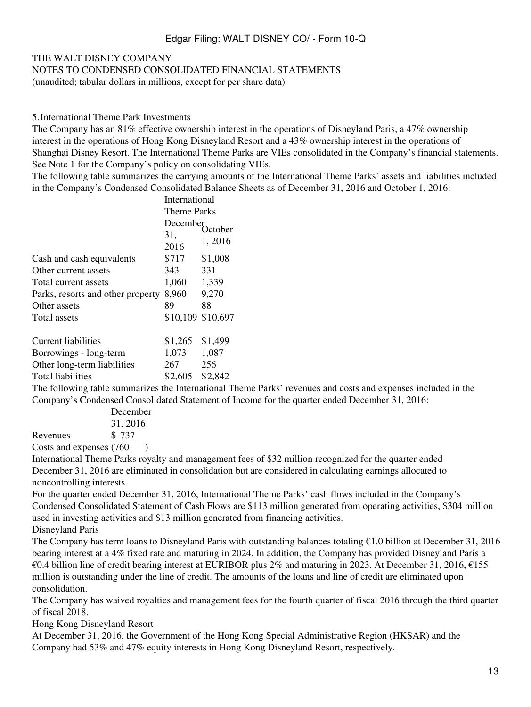#### THE WALT DISNEY COMPANY NOTES TO CONDENSED CONSOLIDATED FINANCIAL STATEMENTS (unaudited; tabular dollars in millions, except for per share data)

#### 5.International Theme Park Investments

The Company has an 81% effective ownership interest in the operations of Disneyland Paris, a 47% ownership interest in the operations of Hong Kong Disneyland Resort and a 43% ownership interest in the operations of Shanghai Disney Resort. The International Theme Parks are VIEs consolidated in the Company's financial statements. See Note 1 for the Company's policy on consolidating VIEs.

The following table summarizes the carrying amounts of the International Theme Parks' assets and liabilities included in the Company's Condensed Consolidated Balance Sheets as of December 31, 2016 and October 1, 2016: International

|                                   | <u>IIIternational</u>              |          |  |
|-----------------------------------|------------------------------------|----------|--|
|                                   | <b>Theme Parks</b>                 |          |  |
|                                   | December<br>October<br>31,<br>2016 | 1,2016   |  |
| Cash and cash equivalents         | \$717                              | \$1,008  |  |
| Other current assets              | 343                                | 331      |  |
| Total current assets              | 1,060                              | 1,339    |  |
| Parks, resorts and other property | 8,960                              | 9,270    |  |
| Other assets                      | 89                                 | 88       |  |
| Total assets                      | \$10,109                           | \$10,697 |  |
| <b>Current liabilities</b>        | \$1,265                            | \$1,499  |  |
| Borrowings - long-term            | 1,073                              | 1,087    |  |
| Other long-term liabilities       | 267                                | 256      |  |
| Total liabilities                 | \$2,605                            | \$2,842  |  |

The following table summarizes the International Theme Parks' revenues and costs and expenses included in the Company's Condensed Consolidated Statement of Income for the quarter ended December 31, 2016:

|          | December |
|----------|----------|
|          | 31, 2016 |
| Revenues | \$737    |

Costs and expenses (760 )

International Theme Parks royalty and management fees of \$32 million recognized for the quarter ended December 31, 2016 are eliminated in consolidation but are considered in calculating earnings allocated to noncontrolling interests.

For the quarter ended December 31, 2016, International Theme Parks' cash flows included in the Company's Condensed Consolidated Statement of Cash Flows are \$113 million generated from operating activities, \$304 million used in investing activities and \$13 million generated from financing activities. Disneyland Paris

The Company has term loans to Disneyland Paris with outstanding balances totaling €1.0 billion at December 31, 2016 bearing interest at a 4% fixed rate and maturing in 2024. In addition, the Company has provided Disneyland Paris a €0.4 billion line of credit bearing interest at EURIBOR plus 2% and maturing in 2023. At December 31, 2016, €155 million is outstanding under the line of credit. The amounts of the loans and line of credit are eliminated upon consolidation.

The Company has waived royalties and management fees for the fourth quarter of fiscal 2016 through the third quarter of fiscal 2018.

Hong Kong Disneyland Resort

At December 31, 2016, the Government of the Hong Kong Special Administrative Region (HKSAR) and the Company had 53% and 47% equity interests in Hong Kong Disneyland Resort, respectively.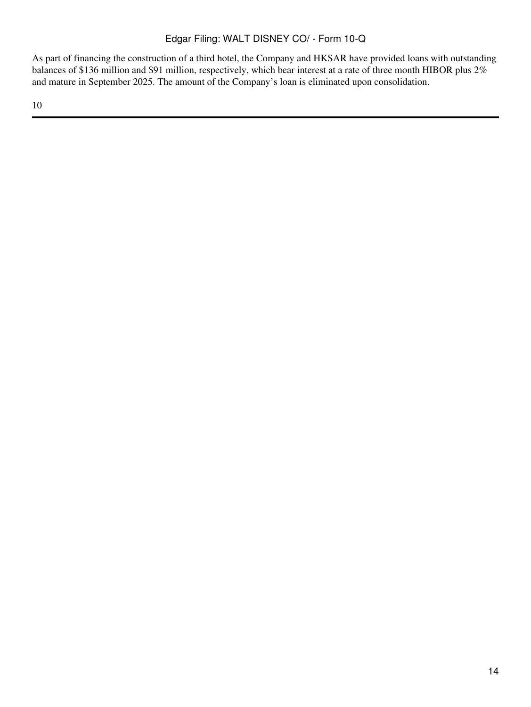As part of financing the construction of a third hotel, the Company and HKSAR have provided loans with outstanding balances of \$136 million and \$91 million, respectively, which bear interest at a rate of three month HIBOR plus 2% and mature in September 2025. The amount of the Company's loan is eliminated upon consolidation.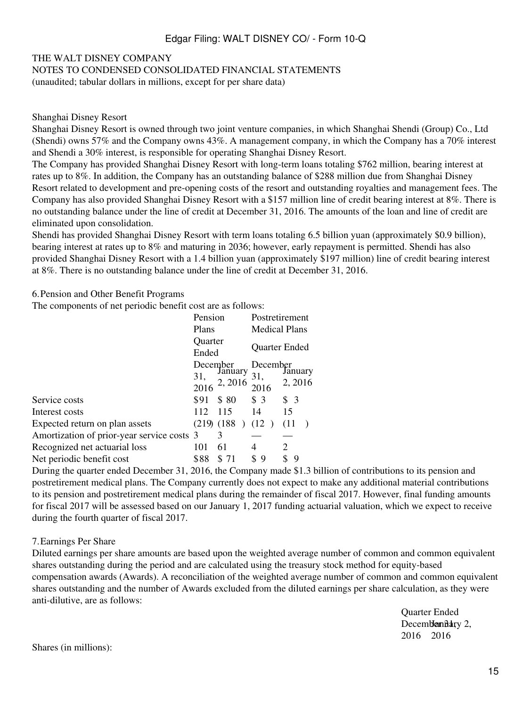THE WALT DISNEY COMPANY

NOTES TO CONDENSED CONSOLIDATED FINANCIAL STATEMENTS

(unaudited; tabular dollars in millions, except for per share data)

#### Shanghai Disney Resort

Shanghai Disney Resort is owned through two joint venture companies, in which Shanghai Shendi (Group) Co., Ltd (Shendi) owns 57% and the Company owns 43%. A management company, in which the Company has a 70% interest and Shendi a 30% interest, is responsible for operating Shanghai Disney Resort.

The Company has provided Shanghai Disney Resort with long-term loans totaling \$762 million, bearing interest at rates up to 8%. In addition, the Company has an outstanding balance of \$288 million due from Shanghai Disney Resort related to development and pre-opening costs of the resort and outstanding royalties and management fees. The Company has also provided Shanghai Disney Resort with a \$157 million line of credit bearing interest at 8%. There is no outstanding balance under the line of credit at December 31, 2016. The amounts of the loan and line of credit are eliminated upon consolidation.

Shendi has provided Shanghai Disney Resort with term loans totaling 6.5 billion yuan (approximately \$0.9 billion), bearing interest at rates up to 8% and maturing in 2036; however, early repayment is permitted. Shendi has also provided Shanghai Disney Resort with a 1.4 billion yuan (approximately \$197 million) line of credit bearing interest at 8%. There is no outstanding balance under the line of credit at December 31, 2016.

#### 6.Pension and Other Benefit Programs

The components of net periodic benefit cost are as follows:

|                                            | Pension        |                           | Postretirement       |                    |  |  |
|--------------------------------------------|----------------|---------------------------|----------------------|--------------------|--|--|
|                                            | Plans          |                           | <b>Medical Plans</b> |                    |  |  |
|                                            | <b>Ouarter</b> |                           |                      |                    |  |  |
|                                            | Ended          |                           | Quarter Ended        |                    |  |  |
|                                            | December       |                           | December             |                    |  |  |
|                                            | 31,            | <b>January</b><br>2, 2016 | 31,                  | January<br>2, 2016 |  |  |
|                                            | 2016           |                           | 2016                 |                    |  |  |
| Service costs                              | \$91           | \$80                      | $\frac{1}{2}$        | $\frac{1}{2}$      |  |  |
| Interest costs                             | 112            | 115                       | 14                   | 15                 |  |  |
| Expected return on plan assets             |                | $(219)$ $(188)$           | (12)                 | (11                |  |  |
| Amortization of prior-year service costs 3 |                | 3                         |                      |                    |  |  |
| Recognized net actuarial loss              | 101            | 61                        | 4                    | 2                  |  |  |
| Net periodic benefit cost                  | \$88           | \$71                      | \$9                  | 9                  |  |  |

During the quarter ended December 31, 2016, the Company made \$1.3 billion of contributions to its pension and postretirement medical plans. The Company currently does not expect to make any additional material contributions to its pension and postretirement medical plans during the remainder of fiscal 2017. However, final funding amounts for fiscal 2017 will be assessed based on our January 1, 2017 funding actuarial valuation, which we expect to receive during the fourth quarter of fiscal 2017.

#### 7.Earnings Per Share

Diluted earnings per share amounts are based upon the weighted average number of common and common equivalent shares outstanding during the period and are calculated using the treasury stock method for equity-based compensation awards (Awards). A reconciliation of the weighted average number of common and common equivalent shares outstanding and the number of Awards excluded from the diluted earnings per share calculation, as they were anti-dilutive, are as follows:

Quarter Ended Decemble and they 2, 2016 2016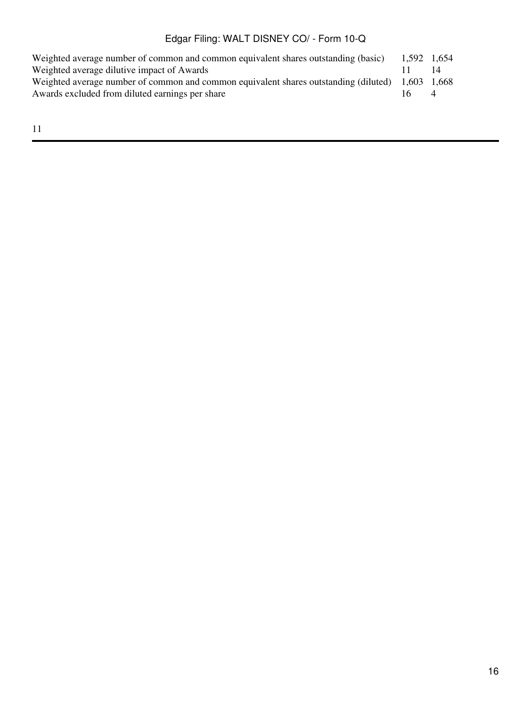| Weighted average number of common and common equivalent shares outstanding (basic)               | 1.592 1.654 |    |
|--------------------------------------------------------------------------------------------------|-------------|----|
| Weighted average dilutive impact of Awards                                                       |             | 14 |
| Weighted average number of common and common equivalent shares outstanding (diluted) 1,603 1,668 |             |    |
| Awards excluded from diluted earnings per share                                                  | 16.         |    |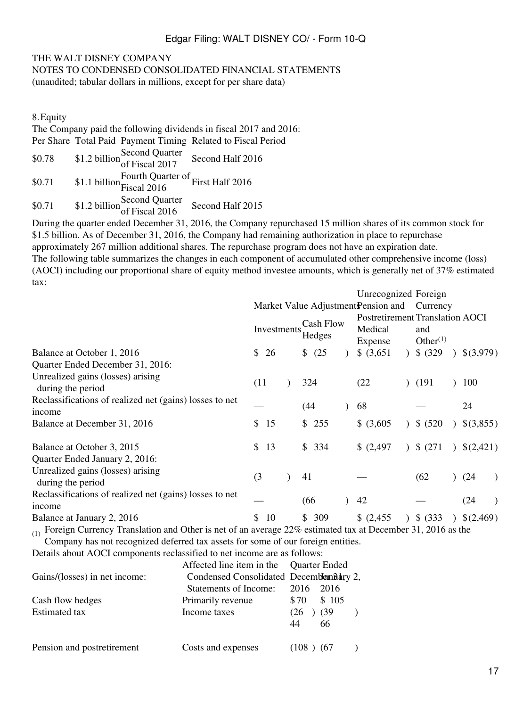## THE WALT DISNEY COMPANY

# NOTES TO CONDENSED CONSOLIDATED FINANCIAL STATEMENTS

(unaudited; tabular dollars in millions, except for per share data)

| 8. Equity |                                                 | The Company paid the following dividends in fiscal 2017 and 2016: |
|-----------|-------------------------------------------------|-------------------------------------------------------------------|
|           |                                                 | Per Share Total Paid Payment Timing Related to Fiscal Period      |
| \$0.78    |                                                 | \$1.2 billion Second Quarter<br>of Fiscal 2017 Second Half 2016   |
| \$0.71    | \$1.1 billion Fourth Quarter of First Half 2016 |                                                                   |
| \$0.71    | \$1.2 billion Second Quarter<br>of Fiscal 2016  | Second Half 2015                                                  |

During the quarter ended December 31, 2016, the Company repurchased 15 million shares of its common stock for \$1.5 billion. As of December 31, 2016, the Company had remaining authorization in place to repurchase approximately 267 million additional shares. The repurchase program does not have an expiration date. The following table summarizes the changes in each component of accumulated other comprehensive income (loss) (AOCI) including our proportional share of equity method investee amounts, which is generally net of 37% estimated tax:

|                                                                   |                                     |  |                     |  | Unrecognized Foreign                                         |  |                    |           |                       |
|-------------------------------------------------------------------|-------------------------------------|--|---------------------|--|--------------------------------------------------------------|--|--------------------|-----------|-----------------------|
|                                                                   | Market Value Adjustment Pension and |  |                     |  | Currency                                                     |  |                    |           |                       |
|                                                                   | Investments                         |  | Cash Flow<br>Hedges |  | <b>Postretirement Translation AOCI</b><br>Medical<br>Expense |  | and<br>Other $(1)$ |           |                       |
| Balance at October 1, 2016                                        | \$<br>26                            |  | \$<br>(25)          |  | \$ (3,651)                                                   |  | \$ (329)           |           | \$(3,979)             |
| Quarter Ended December 31, 2016:                                  |                                     |  |                     |  |                                                              |  |                    |           |                       |
| Unrealized gains (losses) arising<br>during the period            | (11)                                |  | 324                 |  | (22)                                                         |  | (191)              |           | 100                   |
| Reclassifications of realized net (gains) losses to net<br>income |                                     |  | (44)                |  | 68                                                           |  |                    |           | 24                    |
| Balance at December 31, 2016                                      | \$<br>15                            |  | $\mathbb{S}$<br>255 |  | \$ (3,605)                                                   |  | \$ (520)           |           | \$(3,855)             |
| Balance at October 3, 2015<br>Quarter Ended January 2, 2016:      | \$<br>13                            |  | $\mathbb{S}$<br>334 |  | \$ (2,497)                                                   |  | 3(271)             |           | \$(2,421)             |
| Unrealized gains (losses) arising<br>during the period            | (3)                                 |  | 41                  |  |                                                              |  | (62)               | $\lambda$ | (24)                  |
| Reclassifications of realized net (gains) losses to net<br>income |                                     |  | (66)                |  | 42                                                           |  |                    |           | (24)<br>$\rightarrow$ |
| Balance at January 2, 2016                                        | \$<br>10                            |  | $\mathbb{S}$<br>309 |  | \$(2,455)                                                    |  | \$ (333)           |           | \$(2,469)             |

 $_{(1)}$  Foreign Currency Translation and Other is net of an average 22% estimated tax at December 31, 2016 as the Company has not recognized deferred tax assets for some of our foreign entities.

Details about AOCI components reclassified to net income are as follows:

|                               | Affected line item in the Quarter Ended |              |        |  |  |  |
|-------------------------------|-----------------------------------------|--------------|--------|--|--|--|
| Gains/(losses) in net income: | Condensed Consolidated Decemble many 2, |              |        |  |  |  |
|                               | Statements of Income:                   | 2016         | - 2016 |  |  |  |
| Cash flow hedges              | Primarily revenue                       | \$70         | \$105  |  |  |  |
| <b>Estimated</b> tax          | Income taxes                            | (26)         | (39)   |  |  |  |
|                               |                                         | 44           | 66     |  |  |  |
| Pension and postretirement    | Costs and expenses                      | $(108)$ (67) |        |  |  |  |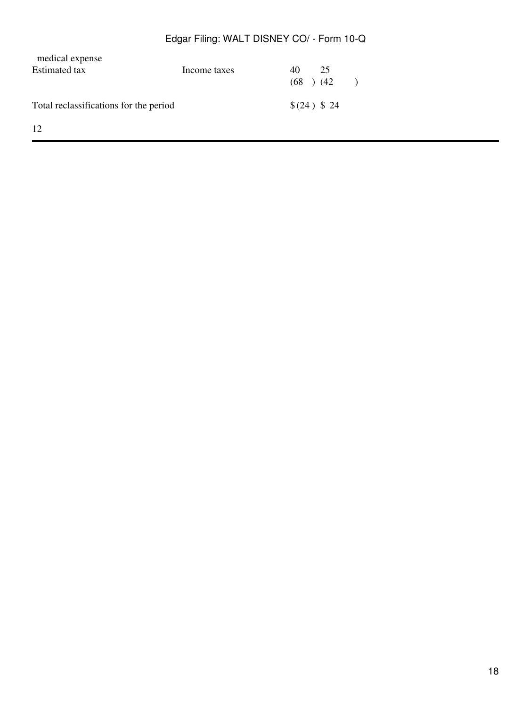| medical expense<br>Estimated tax       | Income taxes | 40<br>$(68)$ $(42)$ | 25 |  |
|----------------------------------------|--------------|---------------------|----|--|
| Total reclassifications for the period |              | \$ (24) \$ 24       |    |  |
| 12                                     |              |                     |    |  |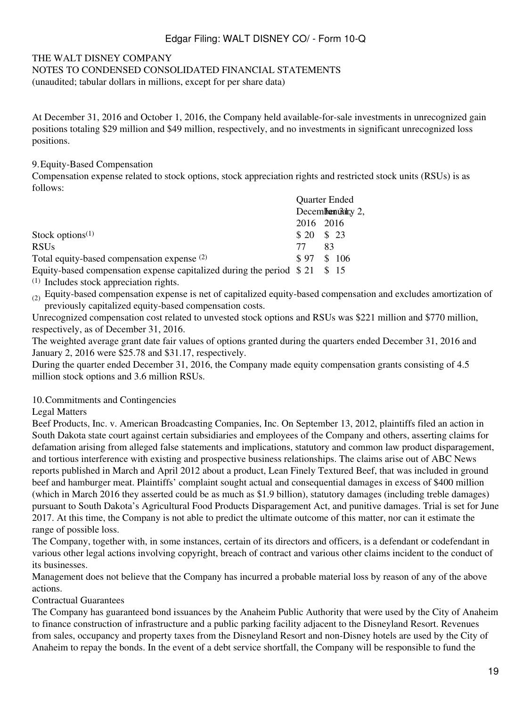#### THE WALT DISNEY COMPANY NOTES TO CONDENSED CONSOLIDATED FINANCIAL STATEMENTS (unaudited; tabular dollars in millions, except for per share data)

At December 31, 2016 and October 1, 2016, the Company held available-for-sale investments in unrecognized gain positions totaling \$29 million and \$49 million, respectively, and no investments in significant unrecognized loss positions.

## 9.Equity-Based Compensation

Compensation expense related to stock options, stock appreciation rights and restricted stock units (RSUs) is as follows:

|                                                                             | <b>Quarter Ended</b> |                  |  |
|-----------------------------------------------------------------------------|----------------------|------------------|--|
|                                                                             |                      | Decembenuedry 2, |  |
|                                                                             | 2016 2016            |                  |  |
| Stock options <sup><math>(1)</math></sup>                                   |                      | $$20 \t$23$      |  |
| <b>RSUs</b>                                                                 | 77                   | 83               |  |
| Total equity-based compensation expense (2)                                 |                      | \$97 \$106       |  |
| Equity-based compensation expense capitalized during the period $$21$ \$ 15 |                      |                  |  |

(1) Includes stock appreciation rights.

 $(2)$  Equity-based compensation expense is net of capitalized equity-based compensation and excludes amortization of previously capitalized equity-based compensation costs.

Unrecognized compensation cost related to unvested stock options and RSUs was \$221 million and \$770 million, respectively, as of December 31, 2016.

The weighted average grant date fair values of options granted during the quarters ended December 31, 2016 and January 2, 2016 were \$25.78 and \$31.17, respectively.

During the quarter ended December 31, 2016, the Company made equity compensation grants consisting of 4.5 million stock options and 3.6 million RSUs.

10.Commitments and Contingencies

Legal Matters

Beef Products, Inc. v. American Broadcasting Companies, Inc. On September 13, 2012, plaintiffs filed an action in South Dakota state court against certain subsidiaries and employees of the Company and others, asserting claims for defamation arising from alleged false statements and implications, statutory and common law product disparagement, and tortious interference with existing and prospective business relationships. The claims arise out of ABC News reports published in March and April 2012 about a product, Lean Finely Textured Beef, that was included in ground beef and hamburger meat. Plaintiffs' complaint sought actual and consequential damages in excess of \$400 million (which in March 2016 they asserted could be as much as \$1.9 billion), statutory damages (including treble damages) pursuant to South Dakota's Agricultural Food Products Disparagement Act, and punitive damages. Trial is set for June 2017. At this time, the Company is not able to predict the ultimate outcome of this matter, nor can it estimate the range of possible loss.

The Company, together with, in some instances, certain of its directors and officers, is a defendant or codefendant in various other legal actions involving copyright, breach of contract and various other claims incident to the conduct of its businesses.

Management does not believe that the Company has incurred a probable material loss by reason of any of the above actions.

## Contractual Guarantees

The Company has guaranteed bond issuances by the Anaheim Public Authority that were used by the City of Anaheim to finance construction of infrastructure and a public parking facility adjacent to the Disneyland Resort. Revenues from sales, occupancy and property taxes from the Disneyland Resort and non-Disney hotels are used by the City of Anaheim to repay the bonds. In the event of a debt service shortfall, the Company will be responsible to fund the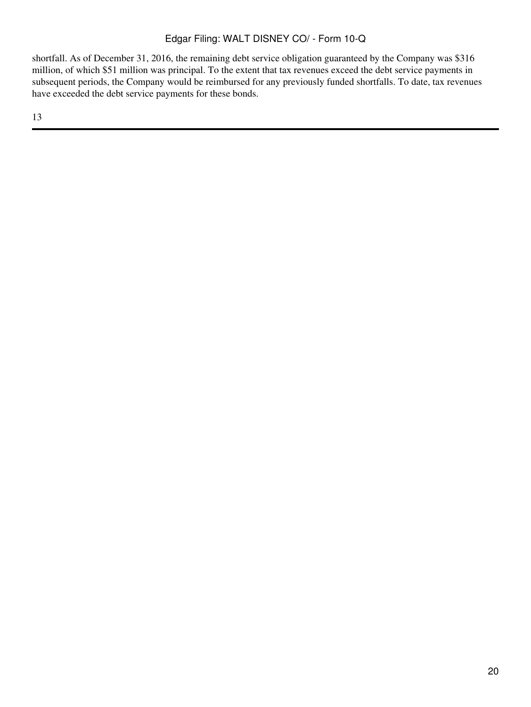shortfall. As of December 31, 2016, the remaining debt service obligation guaranteed by the Company was \$316 million, of which \$51 million was principal. To the extent that tax revenues exceed the debt service payments in subsequent periods, the Company would be reimbursed for any previously funded shortfalls. To date, tax revenues have exceeded the debt service payments for these bonds.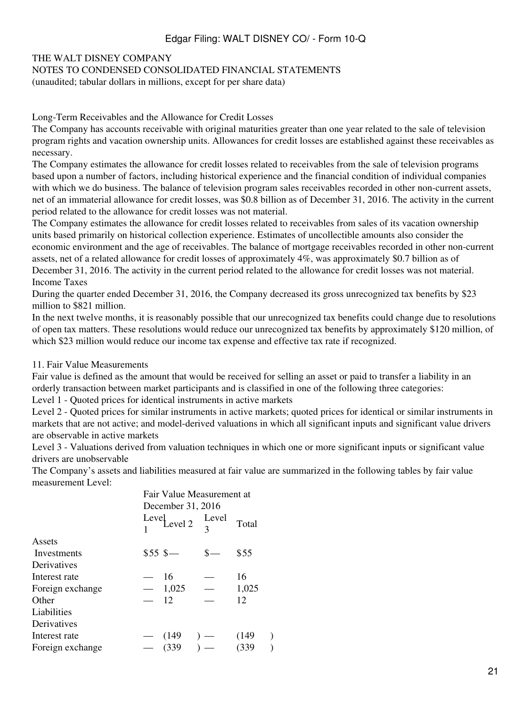## THE WALT DISNEY COMPANY

#### NOTES TO CONDENSED CONSOLIDATED FINANCIAL STATEMENTS

(unaudited; tabular dollars in millions, except for per share data)

Long-Term Receivables and the Allowance for Credit Losses

The Company has accounts receivable with original maturities greater than one year related to the sale of television program rights and vacation ownership units. Allowances for credit losses are established against these receivables as necessary.

The Company estimates the allowance for credit losses related to receivables from the sale of television programs based upon a number of factors, including historical experience and the financial condition of individual companies with which we do business. The balance of television program sales receivables recorded in other non-current assets, net of an immaterial allowance for credit losses, was \$0.8 billion as of December 31, 2016. The activity in the current period related to the allowance for credit losses was not material.

The Company estimates the allowance for credit losses related to receivables from sales of its vacation ownership units based primarily on historical collection experience. Estimates of uncollectible amounts also consider the economic environment and the age of receivables. The balance of mortgage receivables recorded in other non-current assets, net of a related allowance for credit losses of approximately 4%, was approximately \$0.7 billion as of December 31, 2016. The activity in the current period related to the allowance for credit losses was not material. Income Taxes

During the quarter ended December 31, 2016, the Company decreased its gross unrecognized tax benefits by \$23 million to \$821 million.

In the next twelve months, it is reasonably possible that our unrecognized tax benefits could change due to resolutions of open tax matters. These resolutions would reduce our unrecognized tax benefits by approximately \$120 million, of which \$23 million would reduce our income tax expense and effective tax rate if recognized.

## 11. Fair Value Measurements

Fair value is defined as the amount that would be received for selling an asset or paid to transfer a liability in an orderly transaction between market participants and is classified in one of the following three categories:

Level 1 - Quoted prices for identical instruments in active markets

Level 2 - Quoted prices for similar instruments in active markets; quoted prices for identical or similar instruments in markets that are not active; and model-derived valuations in which all significant inputs and significant value drivers are observable in active markets

Level 3 - Valuations derived from valuation techniques in which one or more significant inputs or significant value drivers are unobservable

The Company's assets and liabilities measured at fair value are summarized in the following tables by fair value measurement Level:

|                  | Fair Value Measurement at |                   |       |  |  |  |  |  |
|------------------|---------------------------|-------------------|-------|--|--|--|--|--|
|                  |                           | December 31, 2016 |       |  |  |  |  |  |
|                  | Level 2 Level             |                   | Total |  |  |  |  |  |
| Assets           |                           |                   |       |  |  |  |  |  |
| Investments      | $$55$ \$                  |                   | \$55  |  |  |  |  |  |
| Derivatives      |                           |                   |       |  |  |  |  |  |
| Interest rate    | - 16                      |                   | 16    |  |  |  |  |  |
| Foreign exchange | $-1,025$                  |                   | 1,025 |  |  |  |  |  |
| Other            | $-12$                     |                   | 12    |  |  |  |  |  |
| Liabilities      |                           |                   |       |  |  |  |  |  |
| Derivatives      |                           |                   |       |  |  |  |  |  |
| Interest rate    | (149)                     | $)$ —             | (149) |  |  |  |  |  |
| Foreign exchange | $-$ (339) $-$             |                   | (339) |  |  |  |  |  |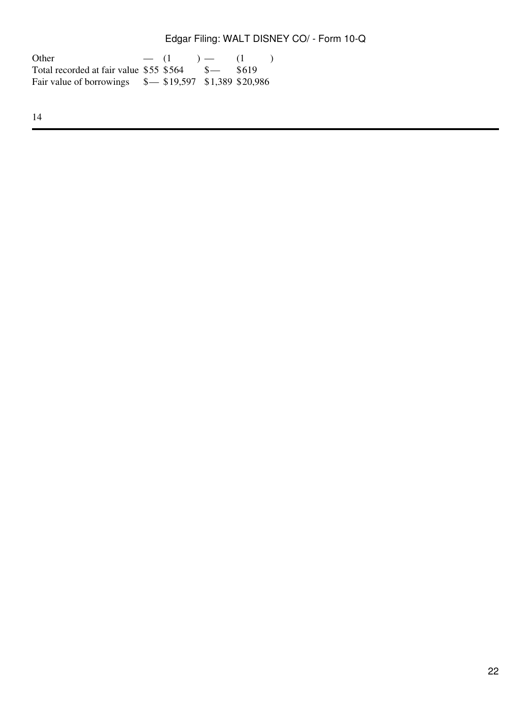| Other                                                  | $- (1)$ $- (1)$ |  |  |
|--------------------------------------------------------|-----------------|--|--|
| Total recorded at fair value $$55$ $$564$ $$—$ $$619$  |                 |  |  |
| Fair value of borrowings $$-\$19,597$ \$1,389 \$20,986 |                 |  |  |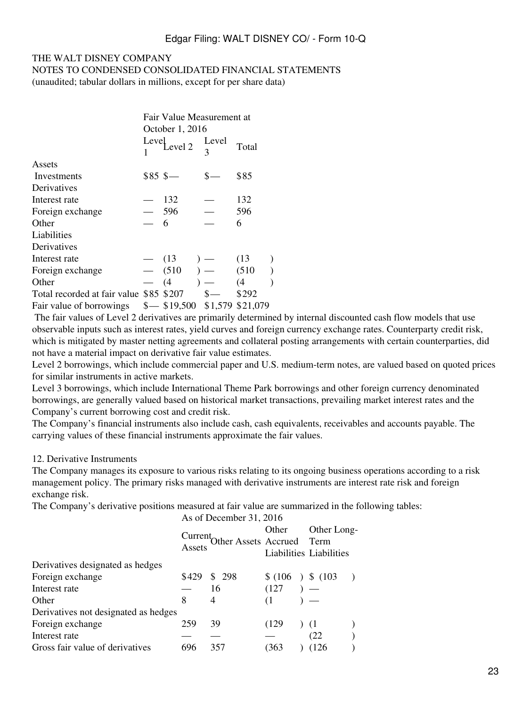# THE WALT DISNEY COMPANY

## NOTES TO CONDENSED CONSOLIDATED FINANCIAL STATEMENTS

(unaudited; tabular dollars in millions, except for per share data)

|                                         | Fair Value Measurement at<br>October 1, 2016 |          |       |       |  |  |
|-----------------------------------------|----------------------------------------------|----------|-------|-------|--|--|
|                                         |                                              | Level 2  | Level | Total |  |  |
| Assets                                  |                                              |          |       |       |  |  |
| Investments                             |                                              | $$85S$ — | S.    | \$85  |  |  |
| Derivatives                             |                                              |          |       |       |  |  |
| Interest rate                           |                                              | 132      |       | 132   |  |  |
| Foreign exchange                        |                                              | - 596    |       | 596   |  |  |
| Other                                   |                                              | 6        |       | 6     |  |  |
| Liabilities                             |                                              |          |       |       |  |  |
| Derivatives                             |                                              |          |       |       |  |  |
| Interest rate                           |                                              | (13)     |       | (13)  |  |  |
| Foreign exchange                        |                                              | (510)    |       | (510) |  |  |
| Other                                   |                                              | (4)      |       | (4)   |  |  |
| Total recorded at fair value \$85 \$207 |                                              |          |       | \$292 |  |  |

Fair value of borrowings  $$-. $19,500 \$1,579 \$21,079$ 

 The fair values of Level 2 derivatives are primarily determined by internal discounted cash flow models that use observable inputs such as interest rates, yield curves and foreign currency exchange rates. Counterparty credit risk, which is mitigated by master netting agreements and collateral posting arrangements with certain counterparties, did not have a material impact on derivative fair value estimates.

Level 2 borrowings, which include commercial paper and U.S. medium-term notes, are valued based on quoted prices for similar instruments in active markets.

Level 3 borrowings, which include International Theme Park borrowings and other foreign currency denominated borrowings, are generally valued based on historical market transactions, prevailing market interest rates and the Company's current borrowing cost and credit risk.

The Company's financial instruments also include cash, cash equivalents, receivables and accounts payable. The carrying values of these financial instruments approximate the fair values.

#### 12. Derivative Instruments

The Company manages its exposure to various risks relating to its ongoing business operations according to a risk management policy. The primary risks managed with derivative instruments are interest rate risk and foreign exchange risk.

The Company's derivative positions measured at fair value are summarized in the following tables: As of December 31, 2016

| $113$ of December 91, 2010 |                                      |                      |  |                      |                                                               |
|----------------------------|--------------------------------------|----------------------|--|----------------------|---------------------------------------------------------------|
|                            |                                      | Other                |  | Other Long-          |                                                               |
|                            | Assets                               |                      |  |                      |                                                               |
|                            |                                      |                      |  |                      |                                                               |
|                            |                                      |                      |  |                      |                                                               |
| \$429                      | \$298                                |                      |  |                      |                                                               |
|                            | 16                                   | (127)                |  |                      |                                                               |
| 8                          | 4                                    |                      |  |                      |                                                               |
|                            |                                      |                      |  |                      |                                                               |
| 259                        | 39                                   | (129)                |  |                      |                                                               |
|                            |                                      |                      |  | (22)                 |                                                               |
| 696                        | 357                                  | (363                 |  | (126                 |                                                               |
|                            | Derivatives not designated as hedges | Current <sub>c</sub> |  | Other Assets Accrued | Term<br>Liabilities Liabilities<br>\$ (106 ) \$ (103)<br>- (1 |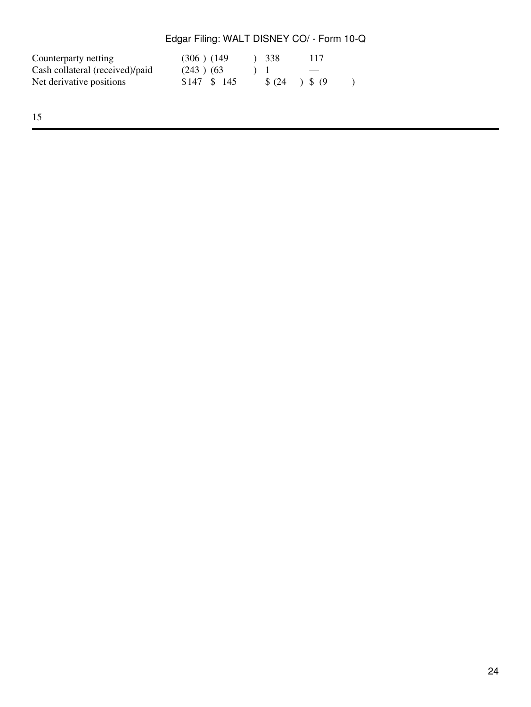| Counterparty netting            | $(306)$ (149) | 338 | -117                     |  |
|---------------------------------|---------------|-----|--------------------------|--|
| Cash collateral (received)/paid | $(243)$ (63)  |     | $\overline{\phantom{a}}$ |  |
| Net derivative positions        | \$147 \$ 145  |     | $$ (24 \t) $ (9$         |  |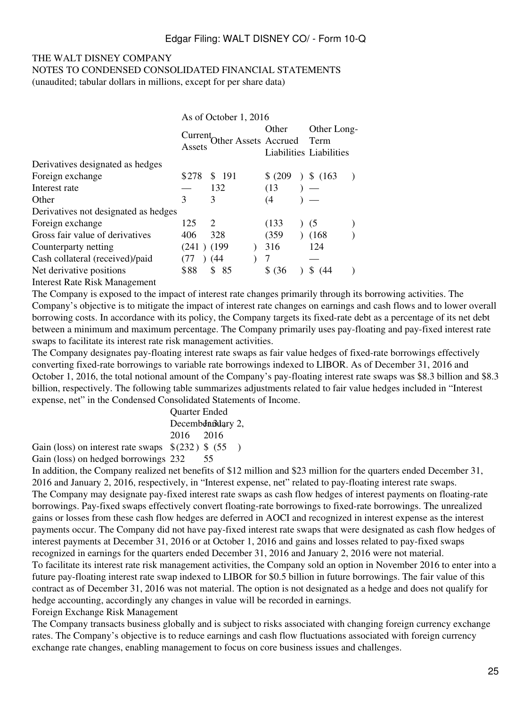#### THE WALT DISNEY COMPANY NOTES TO CONDENSED CONSOLIDATED FINANCIAL STATEMENTS (unaudited; tabular dollars in millions, except for per share data)

|                                      | As of October 1, 2016 |                                            |  |          |               |                                                |  |
|--------------------------------------|-----------------------|--------------------------------------------|--|----------|---------------|------------------------------------------------|--|
|                                      |                       | Current.<br>Other Assets Accrued<br>Assets |  |          |               | Other Long-<br>Term<br>Liabilities Liabilities |  |
| Derivatives designated as hedges     |                       |                                            |  |          |               |                                                |  |
| Foreign exchange                     | \$278                 | \$ 191                                     |  | \$ (209) | $\mathcal{L}$ | \$(163)                                        |  |
| Interest rate                        |                       | 132                                        |  | (13)     |               |                                                |  |
| Other                                | 3                     | 3                                          |  | (4       |               |                                                |  |
| Derivatives not designated as hedges |                       |                                            |  |          |               |                                                |  |
| Foreign exchange                     | 125                   | 2                                          |  | (133)    |               | (5)                                            |  |
| Gross fair value of derivatives      | 406                   | 328                                        |  | (359)    |               | (168)                                          |  |
| Counterparty netting                 | $(241)$ $(199)$       |                                            |  | 316      |               | 124                                            |  |
| Cash collateral (received)/paid      | (77                   | (44)                                       |  |          |               |                                                |  |
| Net derivative positions             | \$88                  | \$<br>85                                   |  | \$ (36)  |               | (44)                                           |  |
| Interest Rate Risk Management        |                       |                                            |  |          |               |                                                |  |

The Company is exposed to the impact of interest rate changes primarily through its borrowing activities. The Company's objective is to mitigate the impact of interest rate changes on earnings and cash flows and to lower overall borrowing costs. In accordance with its policy, the Company targets its fixed-rate debt as a percentage of its net debt between a minimum and maximum percentage. The Company primarily uses pay-floating and pay-fixed interest rate swaps to facilitate its interest rate risk management activities.

The Company designates pay-floating interest rate swaps as fair value hedges of fixed-rate borrowings effectively converting fixed-rate borrowings to variable rate borrowings indexed to LIBOR. As of December 31, 2016 and October 1, 2016, the total notional amount of the Company's pay-floating interest rate swaps was \$8.3 billion and \$8.3 billion, respectively. The following table summarizes adjustments related to fair value hedges included in "Interest expense, net" in the Condensed Consolidated Statements of Income.

| <b>Quarter Ended</b>           |  |  |           |  |  |  |
|--------------------------------|--|--|-----------|--|--|--|
| Decemben <sub>B</sub> ulary 2, |  |  |           |  |  |  |
| 2016 2016                      |  |  |           |  |  |  |
| \$(232) \$ (\$55               |  |  | $\lambda$ |  |  |  |

Gain (loss) on hedged borrowings 232 55

Gain (loss) on interest rate swaps

In addition, the Company realized net benefits of \$12 million and \$23 million for the quarters ended December 31, 2016 and January 2, 2016, respectively, in "Interest expense, net" related to pay-floating interest rate swaps. The Company may designate pay-fixed interest rate swaps as cash flow hedges of interest payments on floating-rate borrowings. Pay-fixed swaps effectively convert floating-rate borrowings to fixed-rate borrowings. The unrealized gains or losses from these cash flow hedges are deferred in AOCI and recognized in interest expense as the interest payments occur. The Company did not have pay-fixed interest rate swaps that were designated as cash flow hedges of interest payments at December 31, 2016 or at October 1, 2016 and gains and losses related to pay-fixed swaps recognized in earnings for the quarters ended December 31, 2016 and January 2, 2016 were not material. To facilitate its interest rate risk management activities, the Company sold an option in November 2016 to enter into a future pay-floating interest rate swap indexed to LIBOR for \$0.5 billion in future borrowings. The fair value of this contract as of December 31, 2016 was not material. The option is not designated as a hedge and does not qualify for hedge accounting, accordingly any changes in value will be recorded in earnings. Foreign Exchange Risk Management

The Company transacts business globally and is subject to risks associated with changing foreign currency exchange rates. The Company's objective is to reduce earnings and cash flow fluctuations associated with foreign currency exchange rate changes, enabling management to focus on core business issues and challenges.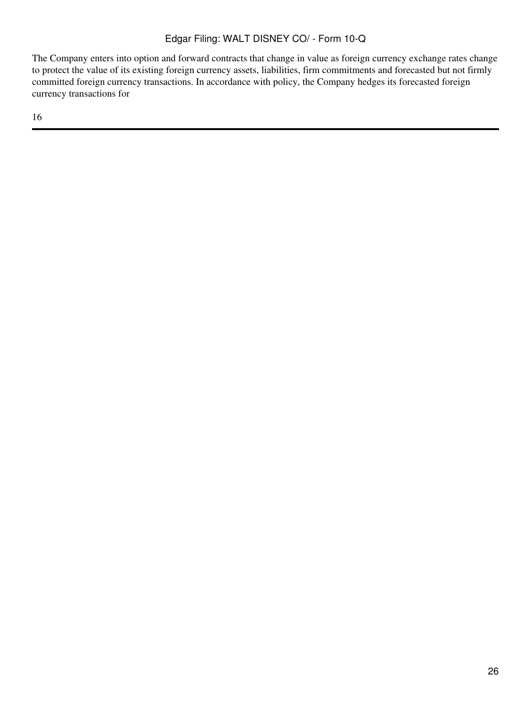The Company enters into option and forward contracts that change in value as foreign currency exchange rates change to protect the value of its existing foreign currency assets, liabilities, firm commitments and forecasted but not firmly committed foreign currency transactions. In accordance with policy, the Company hedges its forecasted foreign currency transactions for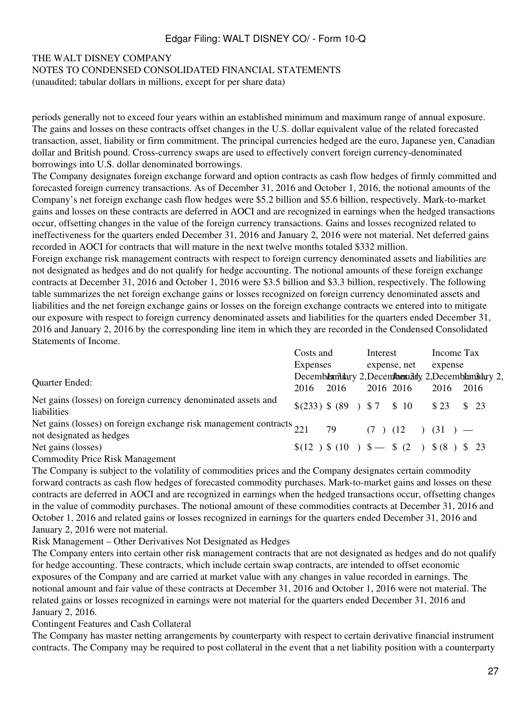#### THE WALT DISNEY COMPANY NOTES TO CONDENSED CONSOLIDATED FINANCIAL STATEMENTS (unaudited; tabular dollars in millions, except for per share data)

periods generally not to exceed four years within an established minimum and maximum range of annual exposure. The gains and losses on these contracts offset changes in the U.S. dollar equivalent value of the related forecasted transaction, asset, liability or firm commitment. The principal currencies hedged are the euro, Japanese yen, Canadian dollar and British pound. Cross-currency swaps are used to effectively convert foreign currency-denominated borrowings into U.S. dollar denominated borrowings.

The Company designates foreign exchange forward and option contracts as cash flow hedges of firmly committed and forecasted foreign currency transactions. As of December 31, 2016 and October 1, 2016, the notional amounts of the Company's net foreign exchange cash flow hedges were \$5.2 billion and \$5.6 billion, respectively. Mark-to-market gains and losses on these contracts are deferred in AOCI and are recognized in earnings when the hedged transactions occur, offsetting changes in the value of the foreign currency transactions. Gains and losses recognized related to ineffectiveness for the quarters ended December 31, 2016 and January 2, 2016 were not material. Net deferred gains recorded in AOCI for contracts that will mature in the next twelve months totaled \$332 million.

Foreign exchange risk management contracts with respect to foreign currency denominated assets and liabilities are not designated as hedges and do not qualify for hedge accounting. The notional amounts of these foreign exchange contracts at December 31, 2016 and October 1, 2016 were \$3.5 billion and \$3.3 billion, respectively. The following table summarizes the net foreign exchange gains or losses recognized on foreign currency denominated assets and liabilities and the net foreign exchange gains or losses on the foreign exchange contracts we entered into to mitigate our exposure with respect to foreign currency denominated assets and liabilities for the quarters ended December 31, 2016 and January 2, 2016 by the corresponding line item in which they are recorded in the Condensed Consolidated Statements of Income.

|                                                                                                                                    | Costs and |      | Interest |                                                                                                                                                                                                                                                                                                                                                                                                                                                            | Income Tax |                                                       |
|------------------------------------------------------------------------------------------------------------------------------------|-----------|------|----------|------------------------------------------------------------------------------------------------------------------------------------------------------------------------------------------------------------------------------------------------------------------------------------------------------------------------------------------------------------------------------------------------------------------------------------------------------------|------------|-------------------------------------------------------|
|                                                                                                                                    | Expenses  |      |          | expense, net                                                                                                                                                                                                                                                                                                                                                                                                                                               | expense    |                                                       |
|                                                                                                                                    |           |      |          |                                                                                                                                                                                                                                                                                                                                                                                                                                                            |            | Decemblantkary 2, Decemblant and 2, Decemblantkary 2, |
| <b>Quarter Ended:</b>                                                                                                              | 2016      | 2016 |          | 2016 2016                                                                                                                                                                                                                                                                                                                                                                                                                                                  | 2016       | 2016                                                  |
| Net gains (losses) on foreign currency denominated assets and<br>liabilities                                                       |           |      |          | $\$(233) \$(89) \$(37 \$(89) \$(7 \$(10 \$(823 \$(823) \$(10 \$(823 \$(10 \$(823) \$(10 \$(823 \$(823) \$(10 \$(823 \$(823) \$(10 \$(823 \$(823) \$(10 \$(823 \$(823) \$(10 \$(823 \$(823) \$(10 \$(823 \$(823) \$(10 \$(823 \$(823) \$(10 \$(823 \$(823) \$(10 \$(823 \$(823) \$(10 \$(823 \$(823) \$(10 \$(823 \$(82$                                                                                                                                    |            |                                                       |
| Net gains (losses) on foreign exchange risk management contracts $_{221}$<br>not designated as hedges                              |           | 79   |          | $(7)$ $(12)$ $(31)$ —                                                                                                                                                                                                                                                                                                                                                                                                                                      |            |                                                       |
| Net gains (losses)                                                                                                                 |           |      |          | $\{(12) \quad \{(10) \quad \} \quad \{(2) \quad \} \quad \{(8) \quad \} \quad \{(2) \quad \} \quad \{(12) \quad \} \quad \{(13) \quad \} \quad \{(14) \quad \} \quad \{(15) \quad \} \quad \{(16) \quad \} \quad \{(17) \quad \} \quad \{(18) \quad \} \quad \{(19) \quad \} \quad \{(19) \quad \} \quad \{(19) \quad \} \quad \{(19) \quad \} \quad \{(19) \quad \} \quad \{(19) \quad \} \quad \{(19) \quad \} \quad \{(19) \quad \} \quad \{(19) \quad$ |            |                                                       |
| $C2$ and $\mathbf{L}_{1}$ and $\mathbf{L}_{2}$ and $\mathbf{L}_{3}$ and $\mathbf{L}_{4}$ and $\mathbf{L}_{5}$ and $\mathbf{L}_{5}$ |           |      |          |                                                                                                                                                                                                                                                                                                                                                                                                                                                            |            |                                                       |

Commodity Price Risk Management The Company is subject to the volatility of commodities prices and the Company designates certain commodity forward contracts as cash flow hedges of forecasted commodity purchases. Mark-to-market gains and losses on these contracts are deferred in AOCI and are recognized in earnings when the hedged transactions occur, offsetting changes in the value of commodity purchases. The notional amount of these commodities contracts at December 31, 2016 and October 1, 2016 and related gains or losses recognized in earnings for the quarters ended December 31, 2016 and

January 2, 2016 were not material.

Risk Management – Other Derivatives Not Designated as Hedges

The Company enters into certain other risk management contracts that are not designated as hedges and do not qualify for hedge accounting. These contracts, which include certain swap contracts, are intended to offset economic exposures of the Company and are carried at market value with any changes in value recorded in earnings. The notional amount and fair value of these contracts at December 31, 2016 and October 1, 2016 were not material. The related gains or losses recognized in earnings were not material for the quarters ended December 31, 2016 and January 2, 2016.

Contingent Features and Cash Collateral

The Company has master netting arrangements by counterparty with respect to certain derivative financial instrument contracts. The Company may be required to post collateral in the event that a net liability position with a counterparty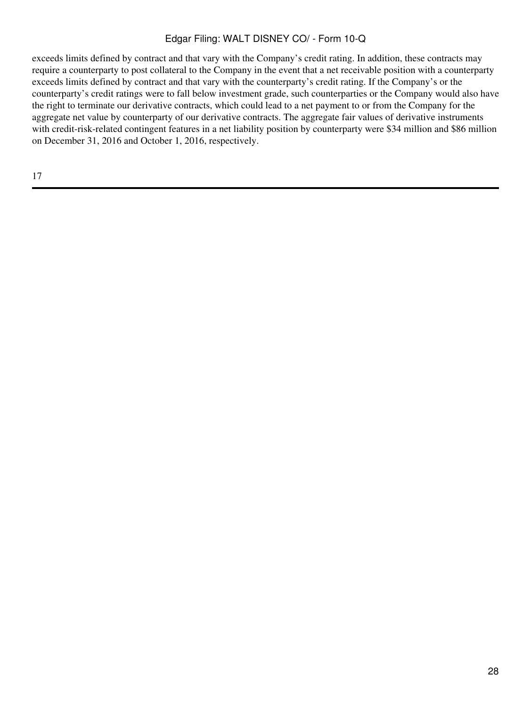exceeds limits defined by contract and that vary with the Company's credit rating. In addition, these contracts may require a counterparty to post collateral to the Company in the event that a net receivable position with a counterparty exceeds limits defined by contract and that vary with the counterparty's credit rating. If the Company's or the counterparty's credit ratings were to fall below investment grade, such counterparties or the Company would also have the right to terminate our derivative contracts, which could lead to a net payment to or from the Company for the aggregate net value by counterparty of our derivative contracts. The aggregate fair values of derivative instruments with credit-risk-related contingent features in a net liability position by counterparty were \$34 million and \$86 million on December 31, 2016 and October 1, 2016, respectively.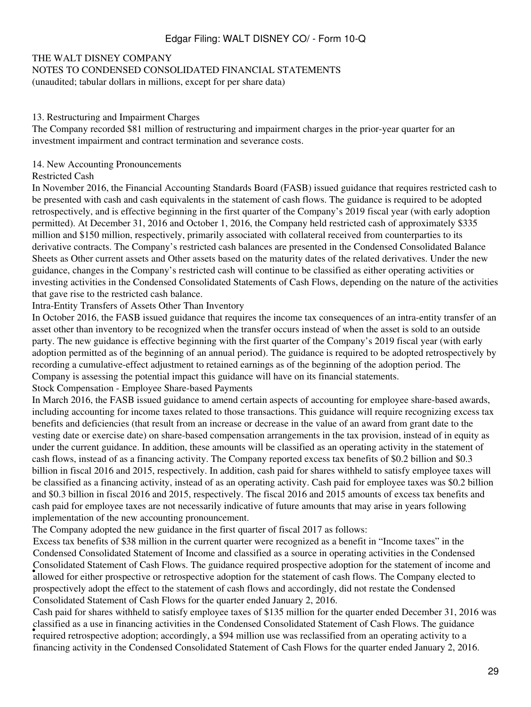#### THE WALT DISNEY COMPANY NOTES TO CONDENSED CONSOLIDATED FINANCIAL STATEMENTS (unaudited; tabular dollars in millions, except for per share data)

#### 13. Restructuring and Impairment Charges

The Company recorded \$81 million of restructuring and impairment charges in the prior-year quarter for an investment impairment and contract termination and severance costs.

#### 14. New Accounting Pronouncements

#### Restricted Cash

In November 2016, the Financial Accounting Standards Board (FASB) issued guidance that requires restricted cash to be presented with cash and cash equivalents in the statement of cash flows. The guidance is required to be adopted retrospectively, and is effective beginning in the first quarter of the Company's 2019 fiscal year (with early adoption permitted). At December 31, 2016 and October 1, 2016, the Company held restricted cash of approximately \$335 million and \$150 million, respectively, primarily associated with collateral received from counterparties to its derivative contracts. The Company's restricted cash balances are presented in the Condensed Consolidated Balance Sheets as Other current assets and Other assets based on the maturity dates of the related derivatives. Under the new guidance, changes in the Company's restricted cash will continue to be classified as either operating activities or investing activities in the Condensed Consolidated Statements of Cash Flows, depending on the nature of the activities that gave rise to the restricted cash balance.

Intra-Entity Transfers of Assets Other Than Inventory

In October 2016, the FASB issued guidance that requires the income tax consequences of an intra-entity transfer of an asset other than inventory to be recognized when the transfer occurs instead of when the asset is sold to an outside party. The new guidance is effective beginning with the first quarter of the Company's 2019 fiscal year (with early adoption permitted as of the beginning of an annual period). The guidance is required to be adopted retrospectively by recording a cumulative-effect adjustment to retained earnings as of the beginning of the adoption period. The Company is assessing the potential impact this guidance will have on its financial statements.

Stock Compensation - Employee Share-based Payments

In March 2016, the FASB issued guidance to amend certain aspects of accounting for employee share-based awards, including accounting for income taxes related to those transactions. This guidance will require recognizing excess tax benefits and deficiencies (that result from an increase or decrease in the value of an award from grant date to the vesting date or exercise date) on share-based compensation arrangements in the tax provision, instead of in equity as under the current guidance. In addition, these amounts will be classified as an operating activity in the statement of cash flows, instead of as a financing activity. The Company reported excess tax benefits of \$0.2 billion and \$0.3 billion in fiscal 2016 and 2015, respectively. In addition, cash paid for shares withheld to satisfy employee taxes will be classified as a financing activity, instead of as an operating activity. Cash paid for employee taxes was \$0.2 billion and \$0.3 billion in fiscal 2016 and 2015, respectively. The fiscal 2016 and 2015 amounts of excess tax benefits and cash paid for employee taxes are not necessarily indicative of future amounts that may arise in years following implementation of the new accounting pronouncement.

The Company adopted the new guidance in the first quarter of fiscal 2017 as follows:

• allowed for either prospective or retrospective adoption for the statement of cash flows. The Company elected to Excess tax benefits of \$38 million in the current quarter were recognized as a benefit in "Income taxes" in the Condensed Consolidated Statement of Income and classified as a source in operating activities in the Condensed Consolidated Statement of Cash Flows. The guidance required prospective adoption for the statement of income and prospectively adopt the effect to the statement of cash flows and accordingly, did not restate the Condensed Consolidated Statement of Cash Flows for the quarter ended January 2, 2016.

• required retrospective adoption; accordingly, a \$94 million use was reclassified from an operating activity to a Cash paid for shares withheld to satisfy employee taxes of \$135 million for the quarter ended December 31, 2016 was classified as a use in financing activities in the Condensed Consolidated Statement of Cash Flows. The guidance financing activity in the Condensed Consolidated Statement of Cash Flows for the quarter ended January 2, 2016.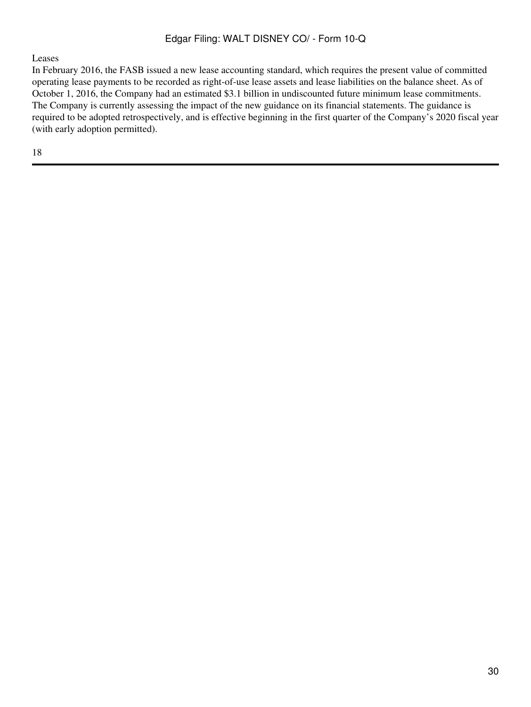#### Leases

In February 2016, the FASB issued a new lease accounting standard, which requires the present value of committed operating lease payments to be recorded as right-of-use lease assets and lease liabilities on the balance sheet. As of October 1, 2016, the Company had an estimated \$3.1 billion in undiscounted future minimum lease commitments. The Company is currently assessing the impact of the new guidance on its financial statements. The guidance is required to be adopted retrospectively, and is effective beginning in the first quarter of the Company's 2020 fiscal year (with early adoption permitted).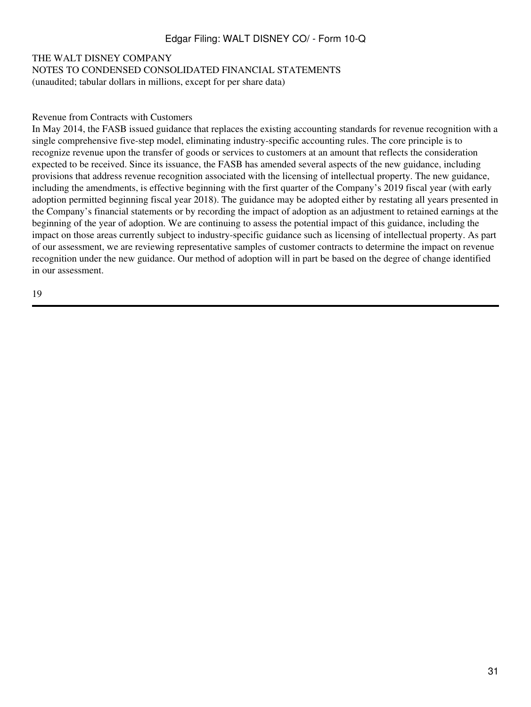#### THE WALT DISNEY COMPANY NOTES TO CONDENSED CONSOLIDATED FINANCIAL STATEMENTS (unaudited; tabular dollars in millions, except for per share data)

#### Revenue from Contracts with Customers

In May 2014, the FASB issued guidance that replaces the existing accounting standards for revenue recognition with a single comprehensive five-step model, eliminating industry-specific accounting rules. The core principle is to recognize revenue upon the transfer of goods or services to customers at an amount that reflects the consideration expected to be received. Since its issuance, the FASB has amended several aspects of the new guidance, including provisions that address revenue recognition associated with the licensing of intellectual property. The new guidance, including the amendments, is effective beginning with the first quarter of the Company's 2019 fiscal year (with early adoption permitted beginning fiscal year 2018). The guidance may be adopted either by restating all years presented in the Company's financial statements or by recording the impact of adoption as an adjustment to retained earnings at the beginning of the year of adoption. We are continuing to assess the potential impact of this guidance, including the impact on those areas currently subject to industry-specific guidance such as licensing of intellectual property. As part of our assessment, we are reviewing representative samples of customer contracts to determine the impact on revenue recognition under the new guidance. Our method of adoption will in part be based on the degree of change identified in our assessment.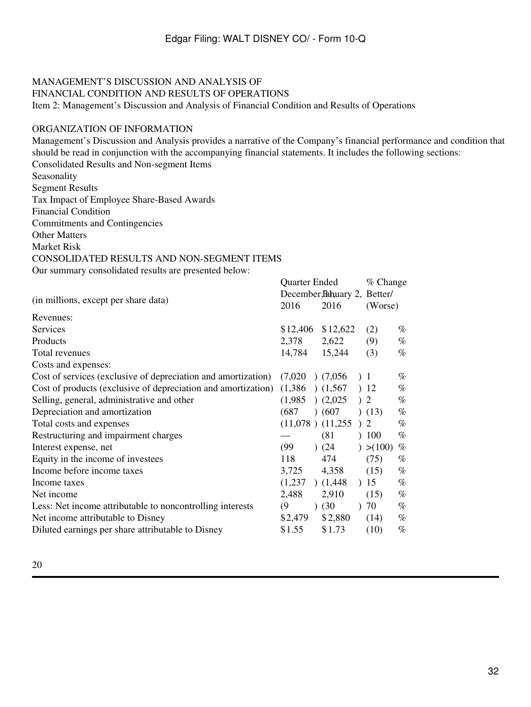# MANAGEMENT'S DISCUSSION AND ANALYSIS OF

## FINANCIAL CONDITION AND RESULTS OF OPERATIONS

Item 2: Management's Discussion and Analysis of Financial Condition and Results of Operations

#### ORGANIZATION OF INFORMATION

Management's Discussion and Analysis provides a narrative of the Company's financial performance and condition that should be read in conjunction with the accompanying financial statements. It includes the following sections: Consolidated Results and Non-segment Items Seasonality Segment Results Tax Impact of Employee Share-Based Awards Financial Condition Commitments and Contingencies Other Matters Market Risk CONSOLIDATED RESULTS AND NON-SEGMENT ITEMS

Quarter Ended % Change

Our summary consolidated results are presented below:

|                                                               | Yuuror Liiuvu       |                             |             |      |  |  |
|---------------------------------------------------------------|---------------------|-----------------------------|-------------|------|--|--|
|                                                               |                     | December Bahuary 2, Better/ |             |      |  |  |
| (in millions, except per share data)                          | 2016                | 2016                        | (Worse)     |      |  |  |
| Revenues:                                                     |                     |                             |             |      |  |  |
| Services                                                      | \$12,406            | \$12,622                    | (2)         | %    |  |  |
| Products                                                      | 2,378               | 2,622                       | (9)         | $\%$ |  |  |
| Total revenues                                                | 14,784 15,244       |                             | (3)         | $\%$ |  |  |
| Costs and expenses:                                           |                     |                             |             |      |  |  |
| Cost of services (exclusive of depreciation and amortization) | (7,020)             | (7,056)                     | 1           | $\%$ |  |  |
| Cost of products (exclusive of depreciation and amortization) | (1,386)             | (1,567)                     | 12          | $\%$ |  |  |
| Selling, general, administrative and other                    | (1,985)             | (2,025)                     | $2^{\circ}$ | $\%$ |  |  |
| Depreciation and amortization                                 | (687)               | (607)                       | (13)        | $\%$ |  |  |
| Total costs and expenses                                      |                     | $(11,078)$ $(11,255)$ 2     |             | $\%$ |  |  |
| Restructuring and impairment charges                          |                     | (81)                        | 100         | %    |  |  |
| Interest expense, net                                         | (99)                | (24)                        | ) > (100)   | $\%$ |  |  |
| Equity in the income of investees                             | 118                 | 474                         | (75)        | $\%$ |  |  |
| Income before income taxes                                    | 3,725               | 4,358                       | (15)        | $\%$ |  |  |
| Income taxes                                                  | $(1,237)$ $(1,448)$ |                             | 15          | $\%$ |  |  |
| Net income                                                    | 2,488               | 2,910                       | (15)        | $\%$ |  |  |
| Less: Net income attributable to noncontrolling interests     | (9)                 | )(30)                       | )70         | $\%$ |  |  |
| Net income attributable to Disney                             | \$2,479             | \$2,880                     | (14)        | $\%$ |  |  |
| Diluted earnings per share attributable to Disney             | \$1.55              | \$1.73                      | (10)        | $\%$ |  |  |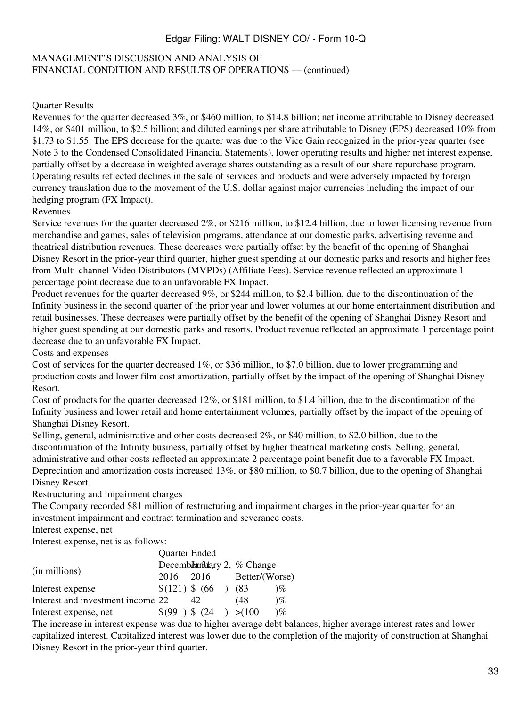# MANAGEMENT'S DISCUSSION AND ANALYSIS OF FINANCIAL CONDITION AND RESULTS OF OPERATIONS — (continued)

## Quarter Results

Revenues for the quarter decreased 3%, or \$460 million, to \$14.8 billion; net income attributable to Disney decreased 14%, or \$401 million, to \$2.5 billion; and diluted earnings per share attributable to Disney (EPS) decreased 10% from \$1.73 to \$1.55. The EPS decrease for the quarter was due to the Vice Gain recognized in the prior-year quarter (see Note 3 to the Condensed Consolidated Financial Statements), lower operating results and higher net interest expense, partially offset by a decrease in weighted average shares outstanding as a result of our share repurchase program. Operating results reflected declines in the sale of services and products and were adversely impacted by foreign currency translation due to the movement of the U.S. dollar against major currencies including the impact of our hedging program (FX Impact).

Revenues

Service revenues for the quarter decreased 2%, or \$216 million, to \$12.4 billion, due to lower licensing revenue from merchandise and games, sales of television programs, attendance at our domestic parks, advertising revenue and theatrical distribution revenues. These decreases were partially offset by the benefit of the opening of Shanghai Disney Resort in the prior-year third quarter, higher guest spending at our domestic parks and resorts and higher fees from Multi-channel Video Distributors (MVPDs) (Affiliate Fees). Service revenue reflected an approximate 1 percentage point decrease due to an unfavorable FX Impact.

Product revenues for the quarter decreased 9%, or \$244 million, to \$2.4 billion, due to the discontinuation of the Infinity business in the second quarter of the prior year and lower volumes at our home entertainment distribution and retail businesses. These decreases were partially offset by the benefit of the opening of Shanghai Disney Resort and higher guest spending at our domestic parks and resorts. Product revenue reflected an approximate 1 percentage point decrease due to an unfavorable FX Impact.

Costs and expenses

Cost of services for the quarter decreased 1%, or \$36 million, to \$7.0 billion, due to lower programming and production costs and lower film cost amortization, partially offset by the impact of the opening of Shanghai Disney Resort.

Cost of products for the quarter decreased 12%, or \$181 million, to \$1.4 billion, due to the discontinuation of the Infinity business and lower retail and home entertainment volumes, partially offset by the impact of the opening of Shanghai Disney Resort.

Selling, general, administrative and other costs decreased 2%, or \$40 million, to \$2.0 billion, due to the discontinuation of the Infinity business, partially offset by higher theatrical marketing costs. Selling, general, administrative and other costs reflected an approximate 2 percentage point benefit due to a favorable FX Impact. Depreciation and amortization costs increased 13%, or \$80 million, to \$0.7 billion, due to the opening of Shanghai Disney Resort.

Restructuring and impairment charges

The Company recorded \$81 million of restructuring and impairment charges in the prior-year quarter for an investment impairment and contract termination and severance costs.

Interest expense, net

Interest expense, net is as follows:

|                                   | Quarter Ended |                          |                           |      |
|-----------------------------------|---------------|--------------------------|---------------------------|------|
|                                   |               |                          | Decembrandary 2, % Change |      |
| (in millions)                     | 2016 2016     |                          | Better/(Worse)            |      |
| Interest expense                  |               | \$(121) \$ (66) (83)     |                           | $\%$ |
| Interest and investment income 22 |               | 42                       | (48                       | $\%$ |
| Interest expense, net             |               | $$(99)$ \$ (24) $>(100)$ |                           | $\%$ |

The increase in interest expense was due to higher average debt balances, higher average interest rates and lower capitalized interest. Capitalized interest was lower due to the completion of the majority of construction at Shanghai Disney Resort in the prior-year third quarter.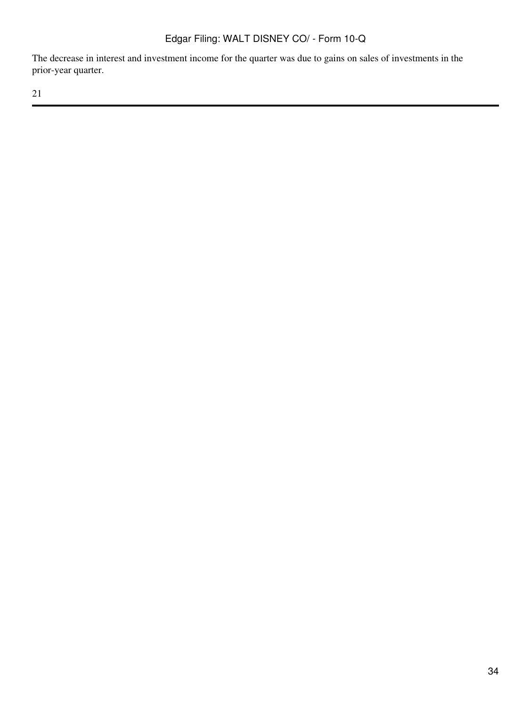The decrease in interest and investment income for the quarter was due to gains on sales of investments in the prior-year quarter.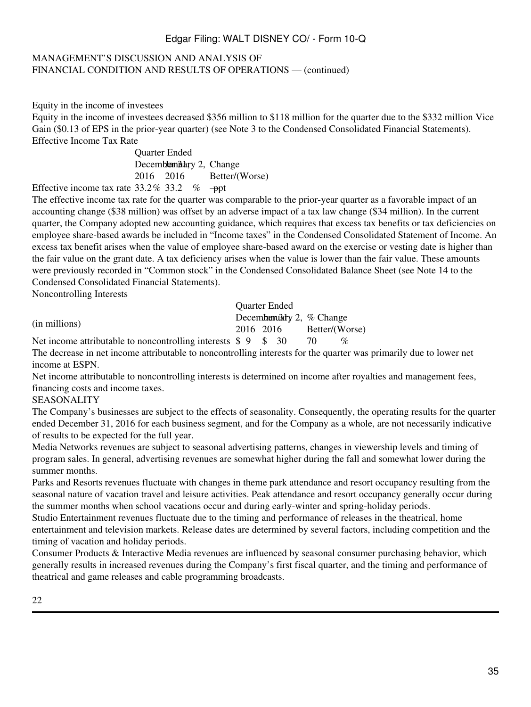## MANAGEMENT'S DISCUSSION AND ANALYSIS OF FINANCIAL CONDITION AND RESULTS OF OPERATIONS — (continued)

Equity in the income of investees

Equity in the income of investees decreased \$356 million to \$118 million for the quarter due to the \$332 million Vice Gain (\$0.13 of EPS in the prior-year quarter) (see Note 3 to the Condensed Consolidated Financial Statements). Effective Income Tax Rate

Quarter Ended Decemblem 3 ary 2, Change 2016 2016 Better/(Worse) Effective income tax rate  $33.2\%$  33.2 % —ppt

The effective income tax rate for the quarter was comparable to the prior-year quarter as a favorable impact of an accounting change (\$38 million) was offset by an adverse impact of a tax law change (\$34 million). In the current quarter, the Company adopted new accounting guidance, which requires that excess tax benefits or tax deficiencies on employee share-based awards be included in "Income taxes" in the Condensed Consolidated Statement of Income. An excess tax benefit arises when the value of employee share-based award on the exercise or vesting date is higher than the fair value on the grant date. A tax deficiency arises when the value is lower than the fair value. These amounts were previously recorded in "Common stock" in the Condensed Consolidated Balance Sheet (see Note 14 to the

Condensed Consolidated Financial Statements).

Noncontrolling Interests

|                                                                    | Quarter Ended              |           |  |  |                |                 |
|--------------------------------------------------------------------|----------------------------|-----------|--|--|----------------|-----------------|
|                                                                    | Decembunisty 2, $%$ Change |           |  |  |                |                 |
| (in millions)                                                      |                            | 2016 2016 |  |  | Better/(Worse) |                 |
| Net income attributable to noncontrolling interests $\$ 9$ $\$ 30$ |                            |           |  |  |                | $\mathcal{Q}_0$ |

The decrease in net income attributable to noncontrolling interests for the quarter was primarily due to lower net income at ESPN.

Net income attributable to noncontrolling interests is determined on income after royalties and management fees, financing costs and income taxes.

#### **SEASONALITY**

The Company's businesses are subject to the effects of seasonality. Consequently, the operating results for the quarter ended December 31, 2016 for each business segment, and for the Company as a whole, are not necessarily indicative of results to be expected for the full year.

Media Networks revenues are subject to seasonal advertising patterns, changes in viewership levels and timing of program sales. In general, advertising revenues are somewhat higher during the fall and somewhat lower during the summer months.

Parks and Resorts revenues fluctuate with changes in theme park attendance and resort occupancy resulting from the seasonal nature of vacation travel and leisure activities. Peak attendance and resort occupancy generally occur during the summer months when school vacations occur and during early-winter and spring-holiday periods.

Studio Entertainment revenues fluctuate due to the timing and performance of releases in the theatrical, home entertainment and television markets. Release dates are determined by several factors, including competition and the timing of vacation and holiday periods.

Consumer Products & Interactive Media revenues are influenced by seasonal consumer purchasing behavior, which generally results in increased revenues during the Company's first fiscal quarter, and the timing and performance of theatrical and game releases and cable programming broadcasts.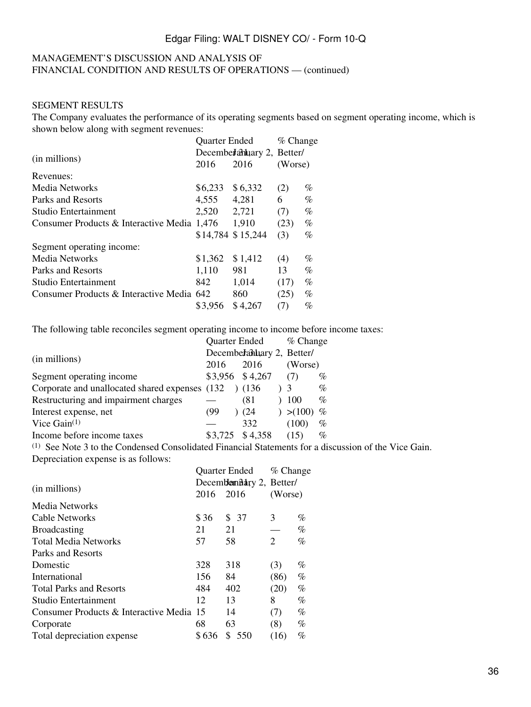#### MANAGEMENT'S DISCUSSION AND ANALYSIS OF FINANCIAL CONDITION AND RESULTS OF OPERATIONS — (continued)

# SEGMENT RESULTS

The Company evaluates the performance of its operating segments based on segment operating income, which is shown below along with segment revenues:

|                                             | Quarter Ended              | % Change          |         |      |
|---------------------------------------------|----------------------------|-------------------|---------|------|
|                                             | Decemberahlyary 2, Better/ |                   |         |      |
| (in millions)                               | 2016                       | 2016              | (Worse) |      |
| Revenues:                                   |                            |                   |         |      |
| Media Networks                              | \$6,233                    | \$6,332           | (2)     | %    |
| Parks and Resorts                           | 4,555                      | 4,281             | 6       | $\%$ |
| Studio Entertainment                        | 2,520                      | 2,721             | (7)     | $\%$ |
| Consumer Products & Interactive Media 1,476 |                            | 1,910             | (23)    | $\%$ |
|                                             |                            | \$14,784 \$15,244 | (3)     | $\%$ |
| Segment operating income:                   |                            |                   |         |      |
| Media Networks                              | \$1,362                    | \$1,412           | (4)     | %    |
| Parks and Resorts                           | 1,110                      | 981               | 13      | %    |
| Studio Entertainment                        | 842                        | 1,014             | (17)    | $\%$ |
| Consumer Products & Interactive Media 642   |                            | 860               | (25)    | $\%$ |
|                                             | \$3,956                    | \$4,267           | (7)     | $\%$ |

The following table reconciles segment operating income to income before income taxes:

|         | $%$ Change                                      |                                           |                            |
|---------|-------------------------------------------------|-------------------------------------------|----------------------------|
|         |                                                 |                                           |                            |
| 2016    | 2016                                            | (Worse)                                   |                            |
|         |                                                 | (7)                                       | $\%$                       |
|         |                                                 | 3                                         | $\%$                       |
|         | (81                                             | 100                                       | $\%$                       |
| (99     | (24)                                            | > (100)                                   | $\%$                       |
|         | 332                                             | (100)                                     | $\%$                       |
| \$3.725 | \$4.358                                         | (15)                                      | $\%$                       |
|         | Corporate and unallocated shared expenses (132) | Quarter Ended<br>\$3,956 \$4,267<br>(136) | Decemberantiary 2, Better/ |

(1) See Note 3 to the Condensed Consolidated Financial Statements for a discussion of the Vice Gain. Depreciation expense is as follows:

|                                          | Quarter Ended |                              |         | $%$ Change |
|------------------------------------------|---------------|------------------------------|---------|------------|
| (in millions)<br>2016                    |               | Decemble managing 2, Better/ |         |            |
|                                          |               | 2016                         | (Worse) |            |
| Media Networks                           |               |                              |         |            |
| Cable Networks                           | \$36          | \$37                         | 3       | %          |
| <b>Broadcasting</b>                      | 21            | 21                           |         | $\%$       |
| <b>Total Media Networks</b>              | 57            | 58                           | 2       | $\%$       |
| Parks and Resorts                        |               |                              |         |            |
| Domestic                                 | 328           | 318                          | (3)     | %          |
| International                            | 156           | 84                           | (86)    | $\%$       |
| <b>Total Parks and Resorts</b>           | 484           | 402                          | (20)    | $\%$       |
| Studio Entertainment                     | 12            | 13                           | 8       | $\%$       |
| Consumer Products & Interactive Media 15 |               | 14                           | (7)     | $\%$       |
| Corporate                                | 68            | 63                           | (8)     | $\%$       |
| Total depreciation expense               | \$636         | S.<br>550                    | (16)    | $\%$       |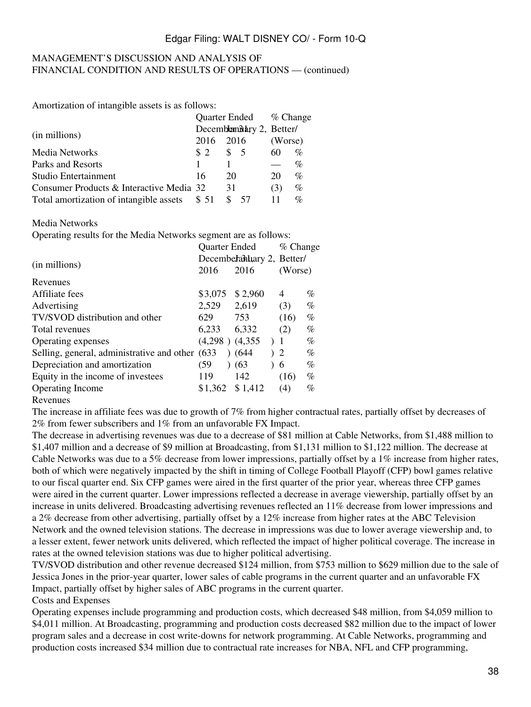## MANAGEMENT'S DISCUSSION AND ANALYSIS OF FINANCIAL CONDITION AND RESULTS OF OPERATIONS — (continued)

Amortization of intangible assets is as follows:

|                                          |                 | Quarter Ended % Change   |  |         |      |
|------------------------------------------|-----------------|--------------------------|--|---------|------|
| (in millions)                            |                 | DecemblamBary 2, Better/ |  |         |      |
|                                          | 2016 2016       |                          |  | (Worse) |      |
| Media Networks                           | $\mathcal{S}$ 2 | $\frac{1}{2}$            |  | 60      | $\%$ |
| Parks and Resorts                        |                 |                          |  |         | $\%$ |
| Studio Entertainment                     | 16              | 20                       |  | 20      | $\%$ |
| Consumer Products & Interactive Media 32 |                 | 31                       |  | (3)     | $\%$ |
| Total amortization of intangible assets  | \$ 51           |                          |  |         | $\%$ |

Media Networks

Operating results for the Media Networks segment are as follows:

|                                                  | Quarter Ended              |         |                |      |
|--------------------------------------------------|----------------------------|---------|----------------|------|
|                                                  | Decemberant ary 2, Better/ |         |                |      |
| (in millions)                                    | 2016                       | 2016    | (Worse)        |      |
| Revenues                                         |                            |         |                |      |
| Affiliate fees                                   | \$3,075                    | \$2,960 | 4              | %    |
| Advertising                                      | 2,529                      | 2,619   | (3)            | $\%$ |
| TV/SVOD distribution and other                   | 629                        | 753     | (16)           | $\%$ |
| Total revenues                                   | 6,233                      | 6,332   | (2)            | $\%$ |
| Operating expenses                               | $(4,298)$ $(4,355)$        | ١       | $\overline{1}$ | $\%$ |
| Selling, general, administrative and other (633) |                            | (644)   | $\binom{2}{}$  | $\%$ |
| Depreciation and amortization                    | (59)<br>$\mathcal{L}$      | (63)    | 6              | $\%$ |
| Equity in the income of investees                | 119                        | 142     | (16)           | $\%$ |
| Operating Income                                 | \$1.362                    | \$1,412 | (4)            | %    |
| Revenues                                         |                            |         |                |      |

The increase in affiliate fees was due to growth of 7% from higher contractual rates, partially offset by decreases of 2% from fewer subscribers and 1% from an unfavorable FX Impact.

The decrease in advertising revenues was due to a decrease of \$81 million at Cable Networks, from \$1,488 million to \$1,407 million and a decrease of \$9 million at Broadcasting, from \$1,131 million to \$1,122 million. The decrease at Cable Networks was due to a 5% decrease from lower impressions, partially offset by a 1% increase from higher rates, both of which were negatively impacted by the shift in timing of College Football Playoff (CFP) bowl games relative to our fiscal quarter end. Six CFP games were aired in the first quarter of the prior year, whereas three CFP games were aired in the current quarter. Lower impressions reflected a decrease in average viewership, partially offset by an increase in units delivered. Broadcasting advertising revenues reflected an 11% decrease from lower impressions and a 2% decrease from other advertising, partially offset by a 12% increase from higher rates at the ABC Television Network and the owned television stations. The decrease in impressions was due to lower average viewership and, to a lesser extent, fewer network units delivered, which reflected the impact of higher political coverage. The increase in rates at the owned television stations was due to higher political advertising.

TV/SVOD distribution and other revenue decreased \$124 million, from \$753 million to \$629 million due to the sale of Jessica Jones in the prior-year quarter, lower sales of cable programs in the current quarter and an unfavorable FX Impact, partially offset by higher sales of ABC programs in the current quarter.

Costs and Expenses

Operating expenses include programming and production costs, which decreased \$48 million, from \$4,059 million to \$4,011 million. At Broadcasting, programming and production costs decreased \$82 million due to the impact of lower program sales and a decrease in cost write-downs for network programming. At Cable Networks, programming and production costs increased \$34 million due to contractual rate increases for NBA, NFL and CFP programming,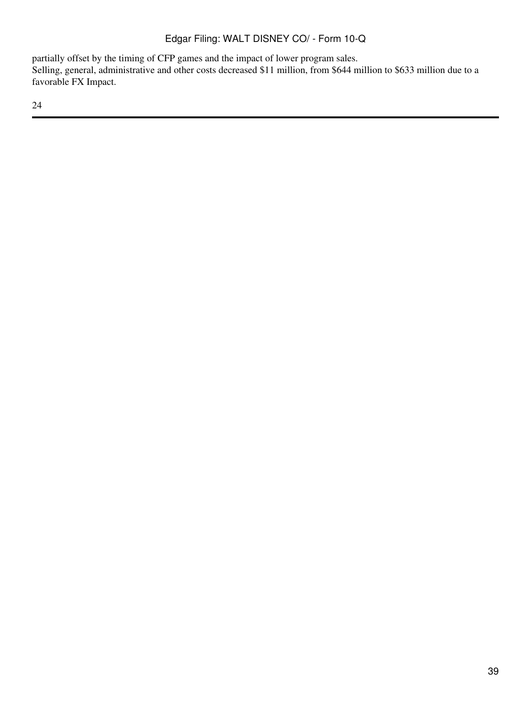partially offset by the timing of CFP games and the impact of lower program sales. Selling, general, administrative and other costs decreased \$11 million, from \$644 million to \$633 million due to a favorable FX Impact.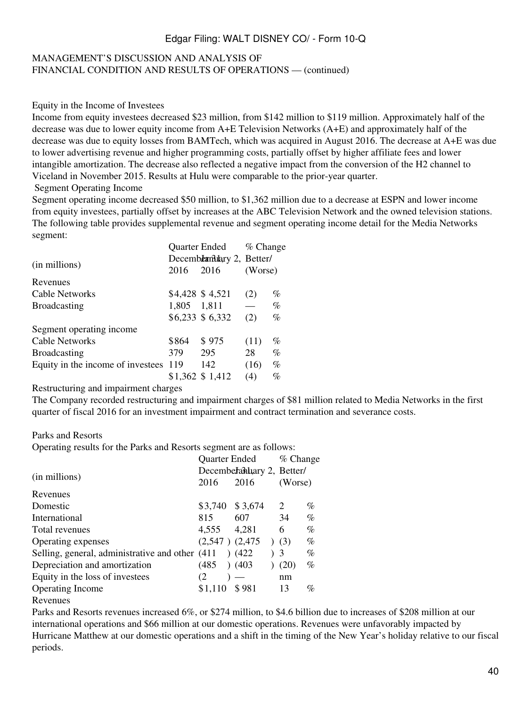# MANAGEMENT'S DISCUSSION AND ANALYSIS OF FINANCIAL CONDITION AND RESULTS OF OPERATIONS — (continued)

#### Equity in the Income of Investees

Income from equity investees decreased \$23 million, from \$142 million to \$119 million. Approximately half of the decrease was due to lower equity income from A+E Television Networks (A+E) and approximately half of the decrease was due to equity losses from BAMTech, which was acquired in August 2016. The decrease at A+E was due to lower advertising revenue and higher programming costs, partially offset by higher affiliate fees and lower intangible amortization. The decrease also reflected a negative impact from the conversion of the H2 channel to Viceland in November 2015. Results at Hulu were comparable to the prior-year quarter.

#### Segment Operating Income

Segment operating income decreased \$50 million, to \$1,362 million due to a decrease at ESPN and lower income from equity investees, partially offset by increases at the ABC Television Network and the owned television stations. The following table provides supplemental revenue and segment operating income detail for the Media Networks segment:

|                                       | Quarter Ended                 | $%$ Change               |         |      |
|---------------------------------------|-------------------------------|--------------------------|---------|------|
|                                       |                               | Decemblandary 2, Better/ |         |      |
|                                       | (in millions)<br>2016<br>2016 |                          | (Worse) |      |
| Revenues                              |                               |                          |         |      |
| Cable Networks                        |                               | \$4,428 \$4,521          | (2)     | $\%$ |
| <b>Broadcasting</b>                   | 1,805 1,811                   |                          |         | $\%$ |
|                                       |                               | \$6,233 \$6,332          | (2)     | $\%$ |
| Segment operating income              |                               |                          |         |      |
| Cable Networks                        | \$864                         | \$975                    | (11)    | $\%$ |
| <b>Broadcasting</b>                   | 379                           | 295                      | 28      | $\%$ |
| Equity in the income of investees 119 |                               | 142                      | (16)    | $\%$ |
|                                       |                               | \$1,362 \$1,412          | (4)     | $\%$ |

Restructuring and impairment charges

The Company recorded restructuring and impairment charges of \$81 million related to Media Networks in the first quarter of fiscal 2016 for an investment impairment and contract termination and severance costs.

## Parks and Resorts

Operating results for the Parks and Resorts segment are as follows:

|                                                  | Quarter Ended       | $\%$ Change                 |         |      |  |
|--------------------------------------------------|---------------------|-----------------------------|---------|------|--|
|                                                  |                     | Decemberant, ary 2, Better/ |         |      |  |
| (in millions)                                    | 2016                | 2016                        | (Worse) |      |  |
| Revenues                                         |                     |                             |         |      |  |
| Domestic                                         | \$3,740             | \$3,674                     | 2       | %    |  |
| International                                    | 815                 | 607                         | 34      | $\%$ |  |
| Total revenues                                   | 4,555               | 4.281                       | 6       | $\%$ |  |
| Operating expenses                               | $(2,547)$ $(2,475)$ |                             | (3)     | $\%$ |  |
| Selling, general, administrative and other (411) |                     | (422)<br>1                  | 3       | $\%$ |  |
| Depreciation and amortization                    | (485)               | (403)                       | (20)    | $\%$ |  |
| Equity in the loss of investees                  | (2)                 |                             | nm      |      |  |
| Operating Income                                 | $$1,110$ \$981      |                             | 13      | %    |  |
| Revenues                                         |                     |                             |         |      |  |

Parks and Resorts revenues increased 6%, or \$274 million, to \$4.6 billion due to increases of \$208 million at our international operations and \$66 million at our domestic operations. Revenues were unfavorably impacted by Hurricane Matthew at our domestic operations and a shift in the timing of the New Year's holiday relative to our fiscal periods.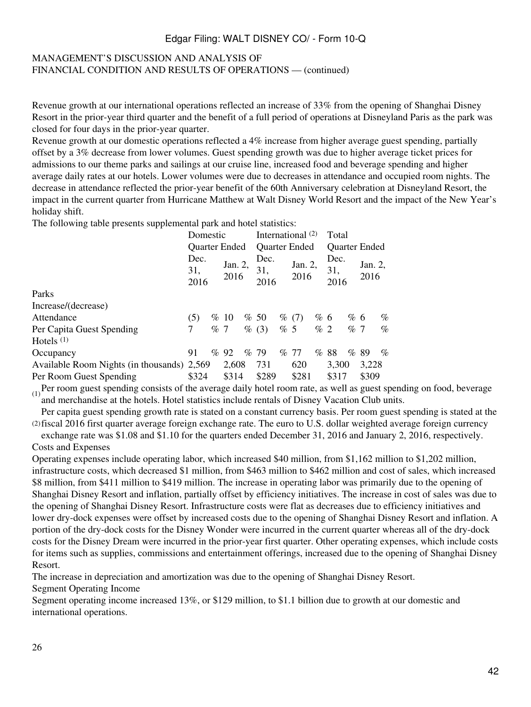## MANAGEMENT'S DISCUSSION AND ANALYSIS OF FINANCIAL CONDITION AND RESULTS OF OPERATIONS — (continued)

Revenue growth at our international operations reflected an increase of 33% from the opening of Shanghai Disney Resort in the prior-year third quarter and the benefit of a full period of operations at Disneyland Paris as the park was closed for four days in the prior-year quarter.

Revenue growth at our domestic operations reflected a 4% increase from higher average guest spending, partially offset by a 3% decrease from lower volumes. Guest spending growth was due to higher average ticket prices for admissions to our theme parks and sailings at our cruise line, increased food and beverage spending and higher average daily rates at our hotels. Lower volumes were due to decreases in attendance and occupied room nights. The decrease in attendance reflected the prior-year benefit of the 60th Anniversary celebration at Disneyland Resort, the impact in the current quarter from Hurricane Matthew at Walt Disney World Resort and the impact of the New Year's holiday shift.

The following table presents supplemental park and hotel statistics:

|                                            | Domestic            |    |                 |      |                      |      | International $(2)$ |    | Total               |      |                 |      |
|--------------------------------------------|---------------------|----|-----------------|------|----------------------|------|---------------------|----|---------------------|------|-----------------|------|
|                                            | Quarter Ended       |    |                 |      | <b>Quarter Ended</b> |      |                     |    | Quarter Ended       |      |                 |      |
|                                            | Dec.<br>31,<br>2016 |    | Jan. 2,<br>2016 |      | Dec.<br>31,<br>2016  |      | Jan. 2,<br>2016     |    | Dec.<br>31,<br>2016 |      | Jan. 2,<br>2016 |      |
| Parks                                      |                     |    |                 |      |                      |      |                     |    |                     |      |                 |      |
| Increase/(decrease)                        |                     |    |                 |      |                      |      |                     |    |                     |      |                 |      |
| Attendance                                 | (5)                 | %  | -10             |      | % 50                 |      | $\%$ (7)            | %6 |                     | %6   |                 | $\%$ |
| Per Capita Guest Spending                  |                     | %7 |                 |      | % (3)                | % 5  |                     | %2 |                     | %7   |                 | $\%$ |
| Hotels $(1)$                               |                     |    |                 |      |                      |      |                     |    |                     |      |                 |      |
| Occupancy                                  | 91                  |    | %92             | $\%$ | -79                  | $\%$ | -77                 |    | %88                 | $\%$ | -89             | $\%$ |
| Available Room Nights (in thousands) 2,569 |                     |    | 2,608           |      | 731                  |      | 620                 |    | 3,300               |      | 3,228           |      |
| Per Room Guest Spending                    | \$324               |    | \$314           |      | \$289                |      | \$281               |    | \$317               |      | \$309           |      |

 $(1)$ Per room guest spending consists of the average daily hotel room rate, as well as guest spending on food, beverage and merchandise at the hotels. Hotel statistics include rentals of Disney Vacation Club units.

(2) fiscal 2016 first quarter average foreign exchange rate. The euro to U.S. dollar weighted average foreign currency Per capita guest spending growth rate is stated on a constant currency basis. Per room guest spending is stated at the

exchange rate was \$1.08 and \$1.10 for the quarters ended December 31, 2016 and January 2, 2016, respectively. Costs and Expenses

Operating expenses include operating labor, which increased \$40 million, from \$1,162 million to \$1,202 million, infrastructure costs, which decreased \$1 million, from \$463 million to \$462 million and cost of sales, which increased \$8 million, from \$411 million to \$419 million. The increase in operating labor was primarily due to the opening of Shanghai Disney Resort and inflation, partially offset by efficiency initiatives. The increase in cost of sales was due to the opening of Shanghai Disney Resort. Infrastructure costs were flat as decreases due to efficiency initiatives and lower dry-dock expenses were offset by increased costs due to the opening of Shanghai Disney Resort and inflation. A portion of the dry-dock costs for the Disney Wonder were incurred in the current quarter whereas all of the dry-dock costs for the Disney Dream were incurred in the prior-year first quarter. Other operating expenses, which include costs for items such as supplies, commissions and entertainment offerings, increased due to the opening of Shanghai Disney Resort.

The increase in depreciation and amortization was due to the opening of Shanghai Disney Resort.

Segment Operating Income

Segment operating income increased 13%, or \$129 million, to \$1.1 billion due to growth at our domestic and international operations.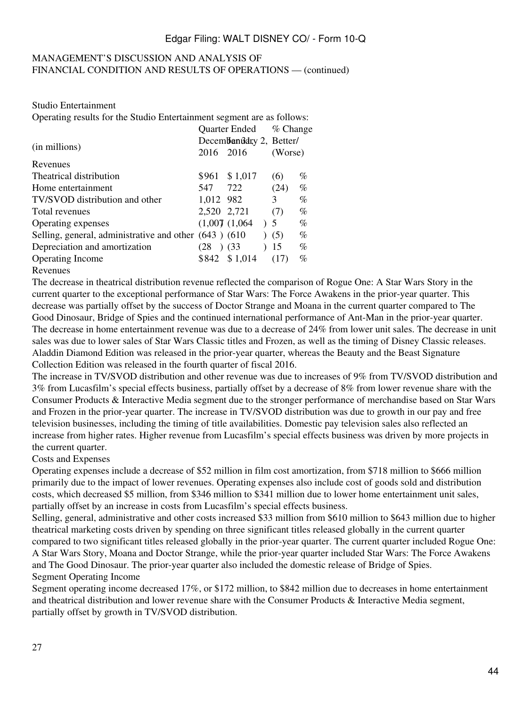#### MANAGEMENT'S DISCUSSION AND ANALYSIS OF FINANCIAL CONDITION AND RESULTS OF OPERATIONS — (continued)

Studio Entertainment

Operating results for the Studio Entertainment segment are as follows:

|                                                        | Quarter Ended | $%$ Change              |                |      |
|--------------------------------------------------------|---------------|-------------------------|----------------|------|
|                                                        |               | Decembandary 2, Better/ |                |      |
| (in millions)                                          |               | 2016 2016               | (Worse)        |      |
| Revenues                                               |               |                         |                |      |
| Theatrical distribution                                | \$961         | \$1,017                 | (6)            | %    |
| Home entertainment                                     | 547           | 722                     | (24)           | $\%$ |
| TV/SVOD distribution and other                         | 1,012 982     |                         | 3              | $\%$ |
| Total revenues                                         | 2,520 2,721   |                         | (7)            | $\%$ |
| Operating expenses                                     |               | (1,007)(1,064)          | 5 <sup>5</sup> | $\%$ |
| Selling, general, administrative and other (643) (610) |               |                         | (5)            | $\%$ |
| Depreciation and amortization                          | (28)          | (33)                    | 15             | $\%$ |
| Operating Income                                       | \$842         | \$1,014                 |                | $\%$ |

Revenues

The decrease in theatrical distribution revenue reflected the comparison of Rogue One: A Star Wars Story in the current quarter to the exceptional performance of Star Wars: The Force Awakens in the prior-year quarter. This decrease was partially offset by the success of Doctor Strange and Moana in the current quarter compared to The Good Dinosaur, Bridge of Spies and the continued international performance of Ant-Man in the prior-year quarter. The decrease in home entertainment revenue was due to a decrease of 24% from lower unit sales. The decrease in unit sales was due to lower sales of Star Wars Classic titles and Frozen, as well as the timing of Disney Classic releases. Aladdin Diamond Edition was released in the prior-year quarter, whereas the Beauty and the Beast Signature Collection Edition was released in the fourth quarter of fiscal 2016.

The increase in TV/SVOD distribution and other revenue was due to increases of 9% from TV/SVOD distribution and 3% from Lucasfilm's special effects business, partially offset by a decrease of 8% from lower revenue share with the Consumer Products & Interactive Media segment due to the stronger performance of merchandise based on Star Wars and Frozen in the prior-year quarter. The increase in TV/SVOD distribution was due to growth in our pay and free television businesses, including the timing of title availabilities. Domestic pay television sales also reflected an increase from higher rates. Higher revenue from Lucasfilm's special effects business was driven by more projects in the current quarter.

Costs and Expenses

Operating expenses include a decrease of \$52 million in film cost amortization, from \$718 million to \$666 million primarily due to the impact of lower revenues. Operating expenses also include cost of goods sold and distribution costs, which decreased \$5 million, from \$346 million to \$341 million due to lower home entertainment unit sales, partially offset by an increase in costs from Lucasfilm's special effects business.

Selling, general, administrative and other costs increased \$33 million from \$610 million to \$643 million due to higher theatrical marketing costs driven by spending on three significant titles released globally in the current quarter compared to two significant titles released globally in the prior-year quarter. The current quarter included Rogue One: A Star Wars Story, Moana and Doctor Strange, while the prior-year quarter included Star Wars: The Force Awakens and The Good Dinosaur. The prior-year quarter also included the domestic release of Bridge of Spies. Segment Operating Income

Segment operating income decreased 17%, or \$172 million, to \$842 million due to decreases in home entertainment and theatrical distribution and lower revenue share with the Consumer Products & Interactive Media segment, partially offset by growth in TV/SVOD distribution.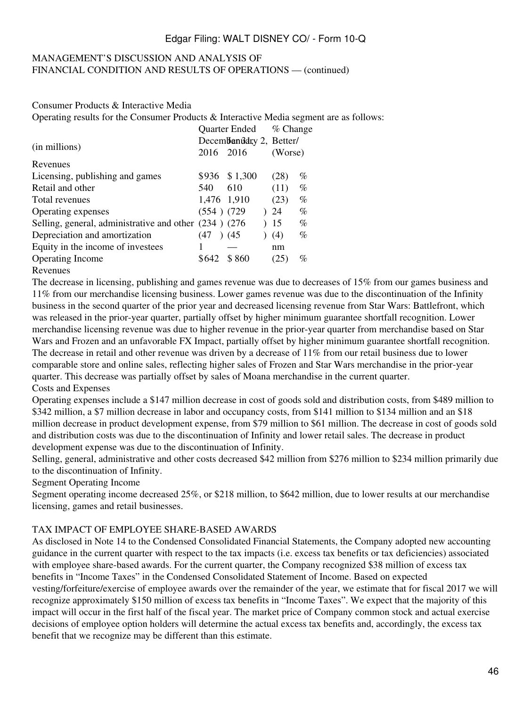#### MANAGEMENT'S DISCUSSION AND ANALYSIS OF FINANCIAL CONDITION AND RESULTS OF OPERATIONS — (continued)

# Consumer Products & Interactive Media

Operating results for the Consumer Products & Interactive Media segment are as follows:

|                                                       | Quarter Ended   | % Change                |         |      |  |
|-------------------------------------------------------|-----------------|-------------------------|---------|------|--|
| (in millions)                                         |                 | Decembandary 2, Better/ |         |      |  |
|                                                       |                 | 2016 2016               | (Worse) |      |  |
| Revenues                                              |                 |                         |         |      |  |
| Licensing, publishing and games                       | \$936           | \$1,300                 | (28)    | $\%$ |  |
| Retail and other                                      | 540             | 610                     | (11)    | $\%$ |  |
| Total revenues                                        | 1,476 1,910     |                         | (23)    | $\%$ |  |
| Operating expenses                                    | $(554)$ $(729)$ |                         | 24      | $\%$ |  |
| Selling, general, administrative and other (234) (276 |                 |                         | 15      | $\%$ |  |
| Depreciation and amortization                         | (47)            | (45)                    | (4)     | %    |  |
| Equity in the income of investees                     |                 |                         | nm      |      |  |
| Operating Income                                      | \$642           | \$860                   | (25)    | %    |  |
| <sub>r</sub>                                          |                 |                         |         |      |  |

Revenues

The decrease in licensing, publishing and games revenue was due to decreases of 15% from our games business and 11% from our merchandise licensing business. Lower games revenue was due to the discontinuation of the Infinity business in the second quarter of the prior year and decreased licensing revenue from Star Wars: Battlefront, which was released in the prior-year quarter, partially offset by higher minimum guarantee shortfall recognition. Lower merchandise licensing revenue was due to higher revenue in the prior-year quarter from merchandise based on Star Wars and Frozen and an unfavorable FX Impact, partially offset by higher minimum guarantee shortfall recognition. The decrease in retail and other revenue was driven by a decrease of 11% from our retail business due to lower comparable store and online sales, reflecting higher sales of Frozen and Star Wars merchandise in the prior-year quarter. This decrease was partially offset by sales of Moana merchandise in the current quarter. Costs and Expenses

Operating expenses include a \$147 million decrease in cost of goods sold and distribution costs, from \$489 million to \$342 million, a \$7 million decrease in labor and occupancy costs, from \$141 million to \$134 million and an \$18 million decrease in product development expense, from \$79 million to \$61 million. The decrease in cost of goods sold and distribution costs was due to the discontinuation of Infinity and lower retail sales. The decrease in product development expense was due to the discontinuation of Infinity.

Selling, general, administrative and other costs decreased \$42 million from \$276 million to \$234 million primarily due to the discontinuation of Infinity.

#### Segment Operating Income

Segment operating income decreased 25%, or \$218 million, to \$642 million, due to lower results at our merchandise licensing, games and retail businesses.

## TAX IMPACT OF EMPLOYEE SHARE-BASED AWARDS

As disclosed in Note 14 to the Condensed Consolidated Financial Statements, the Company adopted new accounting guidance in the current quarter with respect to the tax impacts (i.e. excess tax benefits or tax deficiencies) associated with employee share-based awards. For the current quarter, the Company recognized \$38 million of excess tax benefits in "Income Taxes" in the Condensed Consolidated Statement of Income. Based on expected vesting/forfeiture/exercise of employee awards over the remainder of the year, we estimate that for fiscal 2017 we will recognize approximately \$150 million of excess tax benefits in "Income Taxes". We expect that the majority of this impact will occur in the first half of the fiscal year. The market price of Company common stock and actual exercise decisions of employee option holders will determine the actual excess tax benefits and, accordingly, the excess tax benefit that we recognize may be different than this estimate.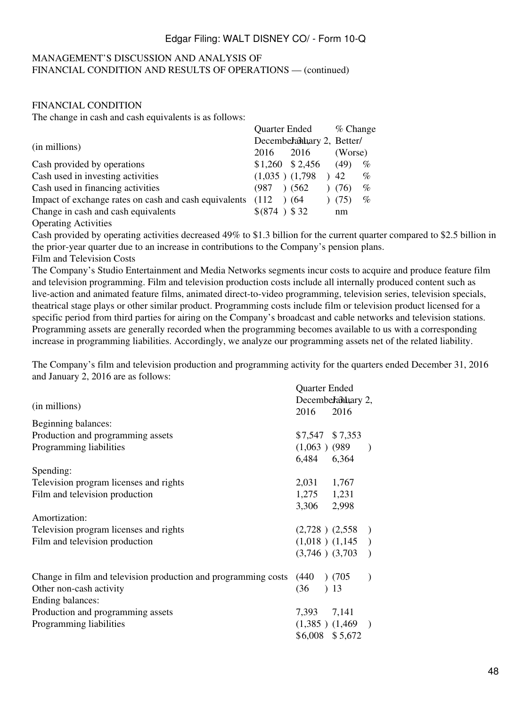#### MANAGEMENT'S DISCUSSION AND ANALYSIS OF FINANCIAL CONDITION AND RESULTS OF OPERATIONS — (continued)

## FINANCIAL CONDITION

The change in cash and cash equivalents is as follows:

|                                                             | Quarter Ended       |                            |  | $%$ Change |      |
|-------------------------------------------------------------|---------------------|----------------------------|--|------------|------|
| (in millions)<br>2016                                       |                     | Decemberantiary 2, Better/ |  |            |      |
|                                                             |                     | 2016                       |  | (Worse)    |      |
| Cash provided by operations                                 |                     | $$1,260$ $$2,456$          |  | (49)       | $\%$ |
| Cash used in investing activities                           | $(1,035)$ $(1,798)$ |                            |  | 42         | $\%$ |
| Cash used in financing activities                           | (987)               | (562)                      |  | (76)       | $\%$ |
| Impact of exchange rates on cash and cash equivalents (112) |                     | (64)                       |  | (75)       | $\%$ |
| Change in cash and cash equivalents                         | \$(874) \$32        |                            |  | nm         |      |
| $\Omega$                                                    |                     |                            |  |            |      |

Operating Activities

Cash provided by operating activities decreased 49% to \$1.3 billion for the current quarter compared to \$2.5 billion in the prior-year quarter due to an increase in contributions to the Company's pension plans. Film and Television Costs

The Company's Studio Entertainment and Media Networks segments incur costs to acquire and produce feature film and television programming. Film and television production costs include all internally produced content such as live-action and animated feature films, animated direct-to-video programming, television series, television specials, theatrical stage plays or other similar product. Programming costs include film or television product licensed for a specific period from third parties for airing on the Company's broadcast and cable networks and television stations. Programming assets are generally recorded when the programming becomes available to us with a corresponding increase in programming liabilities. Accordingly, we analyze our programming assets net of the related liability.

The Company's film and television production and programming activity for the quarters ended December 31, 2016 and January 2, 2016 are as follows:

|                                                                | Quarter Ended   |                     |               |
|----------------------------------------------------------------|-----------------|---------------------|---------------|
|                                                                |                 | Decemberant lary 2, |               |
| (in millions)                                                  | 2016            | 2016                |               |
| Beginning balances:                                            |                 |                     |               |
| Production and programming assets                              | \$7,547 \$7,353 |                     |               |
| Programming liabilities                                        | $(1,063)$ (989) |                     | $\rightarrow$ |
|                                                                | 6,484 6,364     |                     |               |
| Spending:                                                      |                 |                     |               |
| Television program licenses and rights                         | 2,031 1,767     |                     |               |
| Film and television production                                 | 1,275 1,231     |                     |               |
|                                                                | 3,306 2,998     |                     |               |
| Amortization:                                                  |                 |                     |               |
| Television program licenses and rights                         |                 | $(2,728)$ $(2,558)$ |               |
| Film and television production                                 |                 | $(1,018)$ $(1,145)$ |               |
|                                                                |                 | $(3,746)$ $(3,703)$ |               |
|                                                                |                 |                     |               |
| Change in film and television production and programming costs | $(440)$ $(705)$ |                     | $\lambda$     |
| Other non-cash activity                                        | $(36)$ 13       |                     |               |
| Ending balances:                                               |                 |                     |               |
| Production and programming assets                              | 7,393 7,141     |                     |               |
| Programming liabilities                                        |                 | $(1,385)$ $(1,469)$ |               |
|                                                                | \$6,008 \$5,672 |                     |               |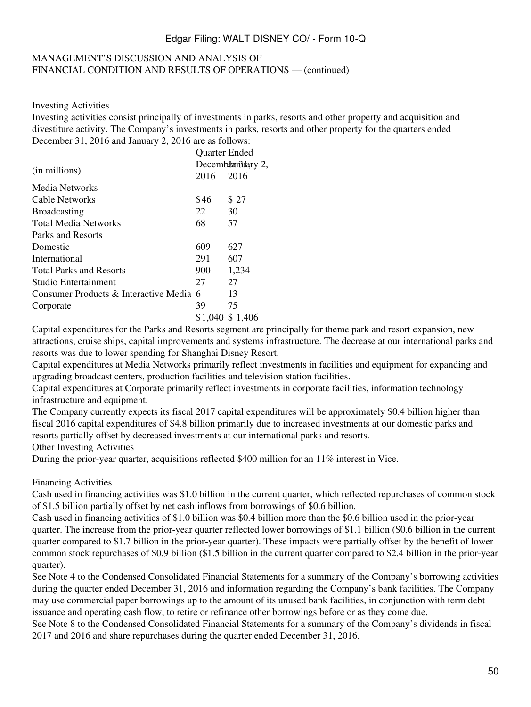#### MANAGEMENT'S DISCUSSION AND ANALYSIS OF FINANCIAL CONDITION AND RESULTS OF OPERATIONS — (continued)

Investing Activities

Investing activities consist principally of investments in parks, resorts and other property and acquisition and divestiture activity. The Company's investments in parks, resorts and other property for the quarters ended December 31, 2016 and January 2, 2016 are as follows:

|                                         | Quarter Ended                |                 |  |  |
|-----------------------------------------|------------------------------|-----------------|--|--|
| (in millions)                           | Decemble and the property 2, |                 |  |  |
| 2016                                    |                              | 2016            |  |  |
| Media Networks                          |                              |                 |  |  |
| Cable Networks                          | \$46                         | \$27            |  |  |
| <b>Broadcasting</b>                     | 22                           | 30              |  |  |
| <b>Total Media Networks</b>             | 68                           | 57              |  |  |
| Parks and Resorts                       |                              |                 |  |  |
| Domestic                                | 609                          | 627             |  |  |
| International                           | 291                          | 607             |  |  |
| <b>Total Parks and Resorts</b>          | 900                          | 1,234           |  |  |
| Studio Entertainment                    | 27                           | 27              |  |  |
| Consumer Products & Interactive Media 6 |                              | 13              |  |  |
| Corporate                               | 39                           | 75              |  |  |
|                                         |                              | \$1,040 \$1,406 |  |  |

Capital expenditures for the Parks and Resorts segment are principally for theme park and resort expansion, new attractions, cruise ships, capital improvements and systems infrastructure. The decrease at our international parks and resorts was due to lower spending for Shanghai Disney Resort.

Capital expenditures at Media Networks primarily reflect investments in facilities and equipment for expanding and upgrading broadcast centers, production facilities and television station facilities.

Capital expenditures at Corporate primarily reflect investments in corporate facilities, information technology infrastructure and equipment.

The Company currently expects its fiscal 2017 capital expenditures will be approximately \$0.4 billion higher than fiscal 2016 capital expenditures of \$4.8 billion primarily due to increased investments at our domestic parks and resorts partially offset by decreased investments at our international parks and resorts.

Other Investing Activities

During the prior-year quarter, acquisitions reflected \$400 million for an 11% interest in Vice.

#### Financing Activities

Cash used in financing activities was \$1.0 billion in the current quarter, which reflected repurchases of common stock of \$1.5 billion partially offset by net cash inflows from borrowings of \$0.6 billion.

Cash used in financing activities of \$1.0 billion was \$0.4 billion more than the \$0.6 billion used in the prior-year quarter. The increase from the prior-year quarter reflected lower borrowings of \$1.1 billion (\$0.6 billion in the current quarter compared to \$1.7 billion in the prior-year quarter). These impacts were partially offset by the benefit of lower common stock repurchases of \$0.9 billion (\$1.5 billion in the current quarter compared to \$2.4 billion in the prior-year quarter).

See Note 4 to the Condensed Consolidated Financial Statements for a summary of the Company's borrowing activities during the quarter ended December 31, 2016 and information regarding the Company's bank facilities. The Company may use commercial paper borrowings up to the amount of its unused bank facilities, in conjunction with term debt issuance and operating cash flow, to retire or refinance other borrowings before or as they come due.

See Note 8 to the Condensed Consolidated Financial Statements for a summary of the Company's dividends in fiscal 2017 and 2016 and share repurchases during the quarter ended December 31, 2016.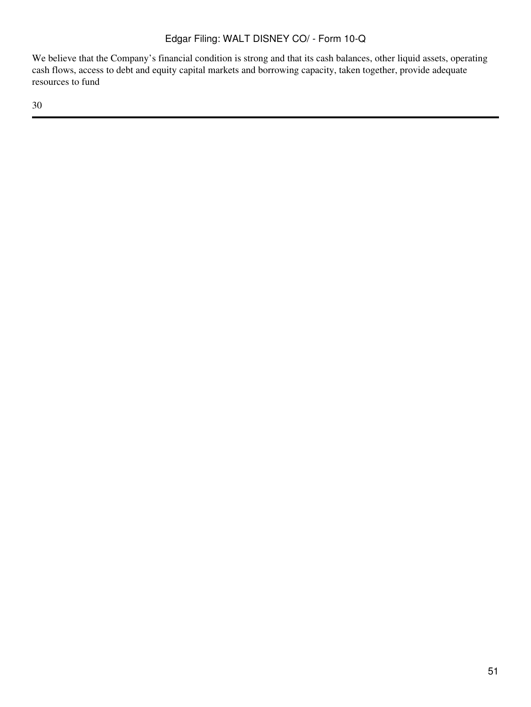We believe that the Company's financial condition is strong and that its cash balances, other liquid assets, operating cash flows, access to debt and equity capital markets and borrowing capacity, taken together, provide adequate resources to fund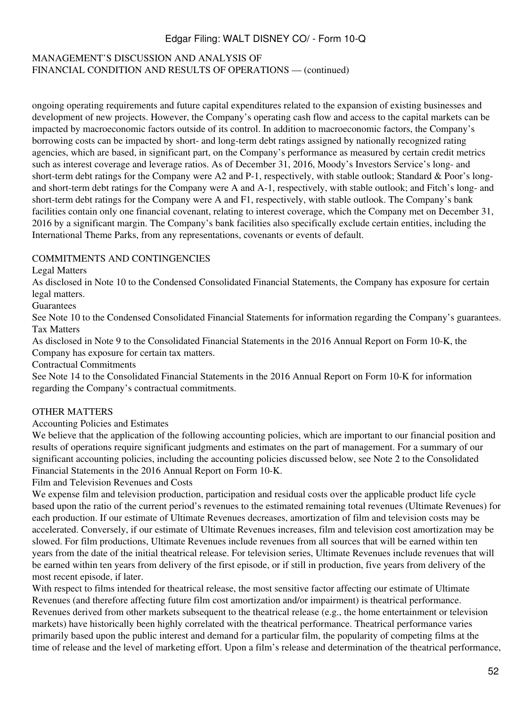# MANAGEMENT'S DISCUSSION AND ANALYSIS OF FINANCIAL CONDITION AND RESULTS OF OPERATIONS — (continued)

ongoing operating requirements and future capital expenditures related to the expansion of existing businesses and development of new projects. However, the Company's operating cash flow and access to the capital markets can be impacted by macroeconomic factors outside of its control. In addition to macroeconomic factors, the Company's borrowing costs can be impacted by short- and long-term debt ratings assigned by nationally recognized rating agencies, which are based, in significant part, on the Company's performance as measured by certain credit metrics such as interest coverage and leverage ratios. As of December 31, 2016, Moody's Investors Service's long- and short-term debt ratings for the Company were A2 and P-1, respectively, with stable outlook; Standard & Poor's longand short-term debt ratings for the Company were A and A-1, respectively, with stable outlook; and Fitch's long- and short-term debt ratings for the Company were A and F1, respectively, with stable outlook. The Company's bank facilities contain only one financial covenant, relating to interest coverage, which the Company met on December 31, 2016 by a significant margin. The Company's bank facilities also specifically exclude certain entities, including the International Theme Parks, from any representations, covenants or events of default.

## COMMITMENTS AND CONTINGENCIES

Legal Matters

As disclosed in Note 10 to the Condensed Consolidated Financial Statements, the Company has exposure for certain legal matters.

Guarantees

See Note 10 to the Condensed Consolidated Financial Statements for information regarding the Company's guarantees. Tax Matters

As disclosed in Note 9 to the Consolidated Financial Statements in the 2016 Annual Report on Form 10-K, the Company has exposure for certain tax matters.

Contractual Commitments

See Note 14 to the Consolidated Financial Statements in the 2016 Annual Report on Form 10-K for information regarding the Company's contractual commitments.

## OTHER MATTERS

Accounting Policies and Estimates

We believe that the application of the following accounting policies, which are important to our financial position and results of operations require significant judgments and estimates on the part of management. For a summary of our significant accounting policies, including the accounting policies discussed below, see Note 2 to the Consolidated Financial Statements in the 2016 Annual Report on Form 10-K.

Film and Television Revenues and Costs

We expense film and television production, participation and residual costs over the applicable product life cycle based upon the ratio of the current period's revenues to the estimated remaining total revenues (Ultimate Revenues) for each production. If our estimate of Ultimate Revenues decreases, amortization of film and television costs may be accelerated. Conversely, if our estimate of Ultimate Revenues increases, film and television cost amortization may be slowed. For film productions, Ultimate Revenues include revenues from all sources that will be earned within ten years from the date of the initial theatrical release. For television series, Ultimate Revenues include revenues that will be earned within ten years from delivery of the first episode, or if still in production, five years from delivery of the most recent episode, if later.

With respect to films intended for theatrical release, the most sensitive factor affecting our estimate of Ultimate Revenues (and therefore affecting future film cost amortization and/or impairment) is theatrical performance. Revenues derived from other markets subsequent to the theatrical release (e.g., the home entertainment or television markets) have historically been highly correlated with the theatrical performance. Theatrical performance varies primarily based upon the public interest and demand for a particular film, the popularity of competing films at the time of release and the level of marketing effort. Upon a film's release and determination of the theatrical performance,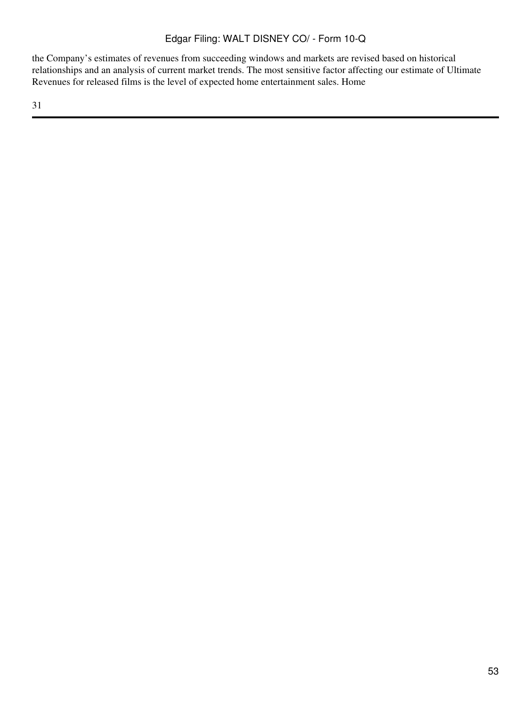the Company's estimates of revenues from succeeding windows and markets are revised based on historical relationships and an analysis of current market trends. The most sensitive factor affecting our estimate of Ultimate Revenues for released films is the level of expected home entertainment sales. Home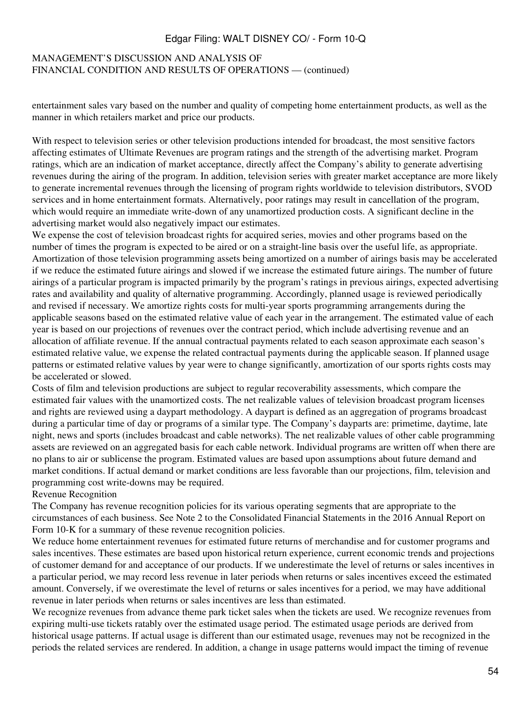# MANAGEMENT'S DISCUSSION AND ANALYSIS OF FINANCIAL CONDITION AND RESULTS OF OPERATIONS — (continued)

entertainment sales vary based on the number and quality of competing home entertainment products, as well as the manner in which retailers market and price our products.

With respect to television series or other television productions intended for broadcast, the most sensitive factors affecting estimates of Ultimate Revenues are program ratings and the strength of the advertising market. Program ratings, which are an indication of market acceptance, directly affect the Company's ability to generate advertising revenues during the airing of the program. In addition, television series with greater market acceptance are more likely to generate incremental revenues through the licensing of program rights worldwide to television distributors, SVOD services and in home entertainment formats. Alternatively, poor ratings may result in cancellation of the program, which would require an immediate write-down of any unamortized production costs. A significant decline in the advertising market would also negatively impact our estimates.

We expense the cost of television broadcast rights for acquired series, movies and other programs based on the number of times the program is expected to be aired or on a straight-line basis over the useful life, as appropriate. Amortization of those television programming assets being amortized on a number of airings basis may be accelerated if we reduce the estimated future airings and slowed if we increase the estimated future airings. The number of future airings of a particular program is impacted primarily by the program's ratings in previous airings, expected advertising rates and availability and quality of alternative programming. Accordingly, planned usage is reviewed periodically and revised if necessary. We amortize rights costs for multi-year sports programming arrangements during the applicable seasons based on the estimated relative value of each year in the arrangement. The estimated value of each year is based on our projections of revenues over the contract period, which include advertising revenue and an allocation of affiliate revenue. If the annual contractual payments related to each season approximate each season's estimated relative value, we expense the related contractual payments during the applicable season. If planned usage patterns or estimated relative values by year were to change significantly, amortization of our sports rights costs may be accelerated or slowed.

Costs of film and television productions are subject to regular recoverability assessments, which compare the estimated fair values with the unamortized costs. The net realizable values of television broadcast program licenses and rights are reviewed using a daypart methodology. A daypart is defined as an aggregation of programs broadcast during a particular time of day or programs of a similar type. The Company's dayparts are: primetime, daytime, late night, news and sports (includes broadcast and cable networks). The net realizable values of other cable programming assets are reviewed on an aggregated basis for each cable network. Individual programs are written off when there are no plans to air or sublicense the program. Estimated values are based upon assumptions about future demand and market conditions. If actual demand or market conditions are less favorable than our projections, film, television and programming cost write-downs may be required.

#### Revenue Recognition

The Company has revenue recognition policies for its various operating segments that are appropriate to the circumstances of each business. See Note 2 to the Consolidated Financial Statements in the 2016 Annual Report on Form 10-K for a summary of these revenue recognition policies.

We reduce home entertainment revenues for estimated future returns of merchandise and for customer programs and sales incentives. These estimates are based upon historical return experience, current economic trends and projections of customer demand for and acceptance of our products. If we underestimate the level of returns or sales incentives in a particular period, we may record less revenue in later periods when returns or sales incentives exceed the estimated amount. Conversely, if we overestimate the level of returns or sales incentives for a period, we may have additional revenue in later periods when returns or sales incentives are less than estimated.

We recognize revenues from advance theme park ticket sales when the tickets are used. We recognize revenues from expiring multi-use tickets ratably over the estimated usage period. The estimated usage periods are derived from historical usage patterns. If actual usage is different than our estimated usage, revenues may not be recognized in the periods the related services are rendered. In addition, a change in usage patterns would impact the timing of revenue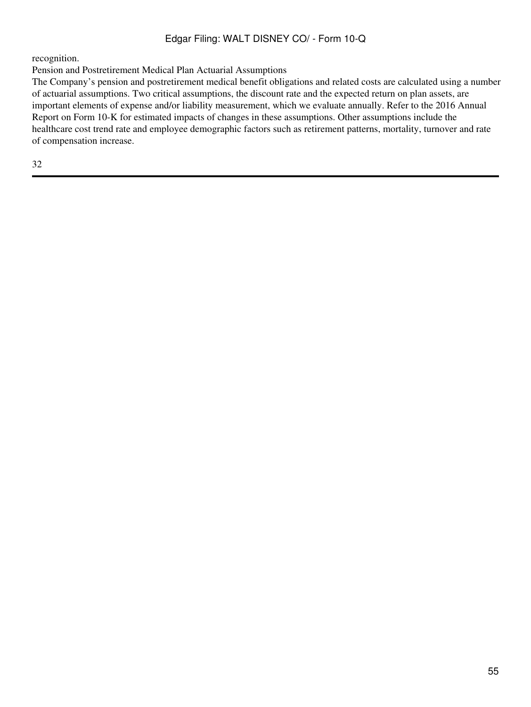recognition.

Pension and Postretirement Medical Plan Actuarial Assumptions

The Company's pension and postretirement medical benefit obligations and related costs are calculated using a number of actuarial assumptions. Two critical assumptions, the discount rate and the expected return on plan assets, are important elements of expense and/or liability measurement, which we evaluate annually. Refer to the 2016 Annual Report on Form 10-K for estimated impacts of changes in these assumptions. Other assumptions include the healthcare cost trend rate and employee demographic factors such as retirement patterns, mortality, turnover and rate of compensation increase.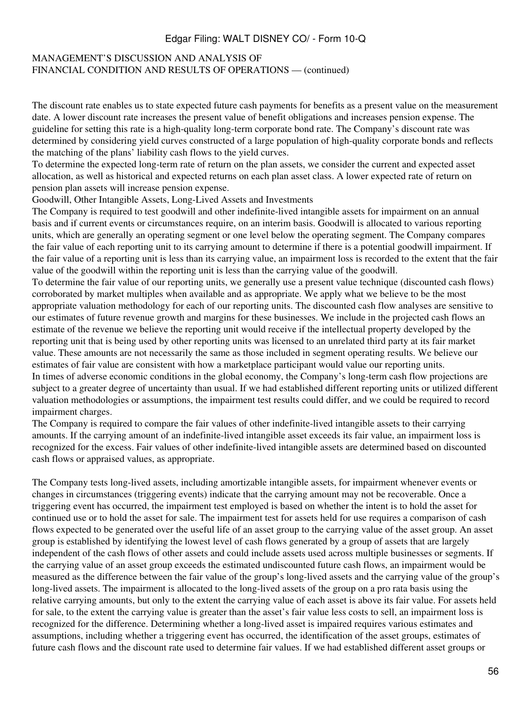## MANAGEMENT'S DISCUSSION AND ANALYSIS OF FINANCIAL CONDITION AND RESULTS OF OPERATIONS — (continued)

The discount rate enables us to state expected future cash payments for benefits as a present value on the measurement date. A lower discount rate increases the present value of benefit obligations and increases pension expense. The guideline for setting this rate is a high-quality long-term corporate bond rate. The Company's discount rate was determined by considering yield curves constructed of a large population of high-quality corporate bonds and reflects the matching of the plans' liability cash flows to the yield curves.

To determine the expected long-term rate of return on the plan assets, we consider the current and expected asset allocation, as well as historical and expected returns on each plan asset class. A lower expected rate of return on pension plan assets will increase pension expense.

Goodwill, Other Intangible Assets, Long-Lived Assets and Investments

The Company is required to test goodwill and other indefinite-lived intangible assets for impairment on an annual basis and if current events or circumstances require, on an interim basis. Goodwill is allocated to various reporting units, which are generally an operating segment or one level below the operating segment. The Company compares the fair value of each reporting unit to its carrying amount to determine if there is a potential goodwill impairment. If the fair value of a reporting unit is less than its carrying value, an impairment loss is recorded to the extent that the fair value of the goodwill within the reporting unit is less than the carrying value of the goodwill.

To determine the fair value of our reporting units, we generally use a present value technique (discounted cash flows) corroborated by market multiples when available and as appropriate. We apply what we believe to be the most appropriate valuation methodology for each of our reporting units. The discounted cash flow analyses are sensitive to our estimates of future revenue growth and margins for these businesses. We include in the projected cash flows an estimate of the revenue we believe the reporting unit would receive if the intellectual property developed by the reporting unit that is being used by other reporting units was licensed to an unrelated third party at its fair market value. These amounts are not necessarily the same as those included in segment operating results. We believe our estimates of fair value are consistent with how a marketplace participant would value our reporting units. In times of adverse economic conditions in the global economy, the Company's long-term cash flow projections are subject to a greater degree of uncertainty than usual. If we had established different reporting units or utilized different valuation methodologies or assumptions, the impairment test results could differ, and we could be required to record impairment charges.

The Company is required to compare the fair values of other indefinite-lived intangible assets to their carrying amounts. If the carrying amount of an indefinite-lived intangible asset exceeds its fair value, an impairment loss is recognized for the excess. Fair values of other indefinite-lived intangible assets are determined based on discounted cash flows or appraised values, as appropriate.

The Company tests long-lived assets, including amortizable intangible assets, for impairment whenever events or changes in circumstances (triggering events) indicate that the carrying amount may not be recoverable. Once a triggering event has occurred, the impairment test employed is based on whether the intent is to hold the asset for continued use or to hold the asset for sale. The impairment test for assets held for use requires a comparison of cash flows expected to be generated over the useful life of an asset group to the carrying value of the asset group. An asset group is established by identifying the lowest level of cash flows generated by a group of assets that are largely independent of the cash flows of other assets and could include assets used across multiple businesses or segments. If the carrying value of an asset group exceeds the estimated undiscounted future cash flows, an impairment would be measured as the difference between the fair value of the group's long-lived assets and the carrying value of the group's long-lived assets. The impairment is allocated to the long-lived assets of the group on a pro rata basis using the relative carrying amounts, but only to the extent the carrying value of each asset is above its fair value. For assets held for sale, to the extent the carrying value is greater than the asset's fair value less costs to sell, an impairment loss is recognized for the difference. Determining whether a long-lived asset is impaired requires various estimates and assumptions, including whether a triggering event has occurred, the identification of the asset groups, estimates of future cash flows and the discount rate used to determine fair values. If we had established different asset groups or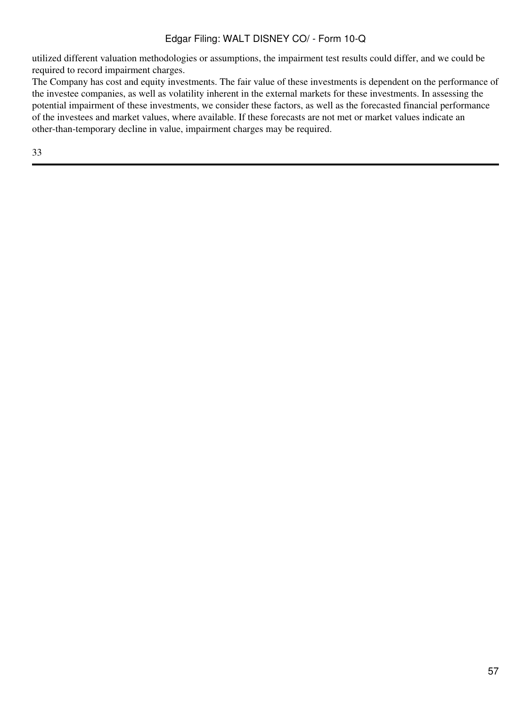utilized different valuation methodologies or assumptions, the impairment test results could differ, and we could be required to record impairment charges.

The Company has cost and equity investments. The fair value of these investments is dependent on the performance of the investee companies, as well as volatility inherent in the external markets for these investments. In assessing the potential impairment of these investments, we consider these factors, as well as the forecasted financial performance of the investees and market values, where available. If these forecasts are not met or market values indicate an other-than-temporary decline in value, impairment charges may be required.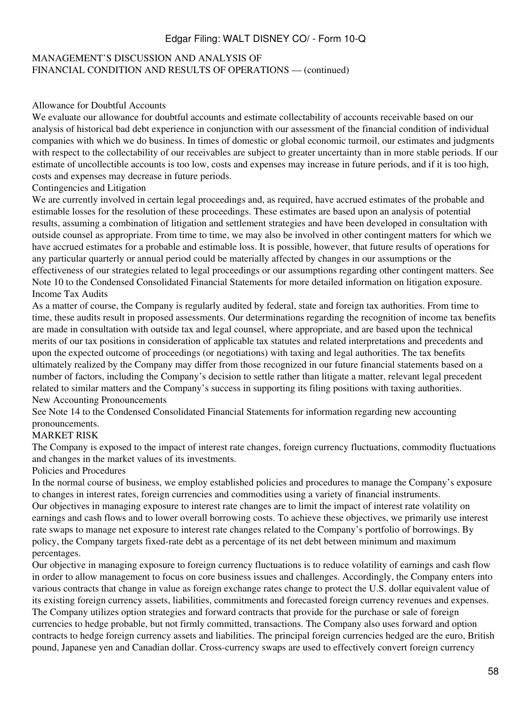# MANAGEMENT'S DISCUSSION AND ANALYSIS OF FINANCIAL CONDITION AND RESULTS OF OPERATIONS — (continued)

#### Allowance for Doubtful Accounts

We evaluate our allowance for doubtful accounts and estimate collectability of accounts receivable based on our analysis of historical bad debt experience in conjunction with our assessment of the financial condition of individual companies with which we do business. In times of domestic or global economic turmoil, our estimates and judgments with respect to the collectability of our receivables are subject to greater uncertainty than in more stable periods. If our estimate of uncollectible accounts is too low, costs and expenses may increase in future periods, and if it is too high, costs and expenses may decrease in future periods.

#### Contingencies and Litigation

We are currently involved in certain legal proceedings and, as required, have accrued estimates of the probable and estimable losses for the resolution of these proceedings. These estimates are based upon an analysis of potential results, assuming a combination of litigation and settlement strategies and have been developed in consultation with outside counsel as appropriate. From time to time, we may also be involved in other contingent matters for which we have accrued estimates for a probable and estimable loss. It is possible, however, that future results of operations for any particular quarterly or annual period could be materially affected by changes in our assumptions or the effectiveness of our strategies related to legal proceedings or our assumptions regarding other contingent matters. See Note 10 to the Condensed Consolidated Financial Statements for more detailed information on litigation exposure. Income Tax Audits

As a matter of course, the Company is regularly audited by federal, state and foreign tax authorities. From time to time, these audits result in proposed assessments. Our determinations regarding the recognition of income tax benefits are made in consultation with outside tax and legal counsel, where appropriate, and are based upon the technical merits of our tax positions in consideration of applicable tax statutes and related interpretations and precedents and upon the expected outcome of proceedings (or negotiations) with taxing and legal authorities. The tax benefits ultimately realized by the Company may differ from those recognized in our future financial statements based on a number of factors, including the Company's decision to settle rather than litigate a matter, relevant legal precedent related to similar matters and the Company's success in supporting its filing positions with taxing authorities. New Accounting Pronouncements

See Note 14 to the Condensed Consolidated Financial Statements for information regarding new accounting pronouncements.

## MARKET RISK

The Company is exposed to the impact of interest rate changes, foreign currency fluctuations, commodity fluctuations and changes in the market values of its investments.

#### Policies and Procedures

In the normal course of business, we employ established policies and procedures to manage the Company's exposure to changes in interest rates, foreign currencies and commodities using a variety of financial instruments. Our objectives in managing exposure to interest rate changes are to limit the impact of interest rate volatility on earnings and cash flows and to lower overall borrowing costs. To achieve these objectives, we primarily use interest rate swaps to manage net exposure to interest rate changes related to the Company's portfolio of borrowings. By policy, the Company targets fixed-rate debt as a percentage of its net debt between minimum and maximum percentages.

Our objective in managing exposure to foreign currency fluctuations is to reduce volatility of earnings and cash flow in order to allow management to focus on core business issues and challenges. Accordingly, the Company enters into various contracts that change in value as foreign exchange rates change to protect the U.S. dollar equivalent value of its existing foreign currency assets, liabilities, commitments and forecasted foreign currency revenues and expenses. The Company utilizes option strategies and forward contracts that provide for the purchase or sale of foreign currencies to hedge probable, but not firmly committed, transactions. The Company also uses forward and option contracts to hedge foreign currency assets and liabilities. The principal foreign currencies hedged are the euro, British pound, Japanese yen and Canadian dollar. Cross-currency swaps are used to effectively convert foreign currency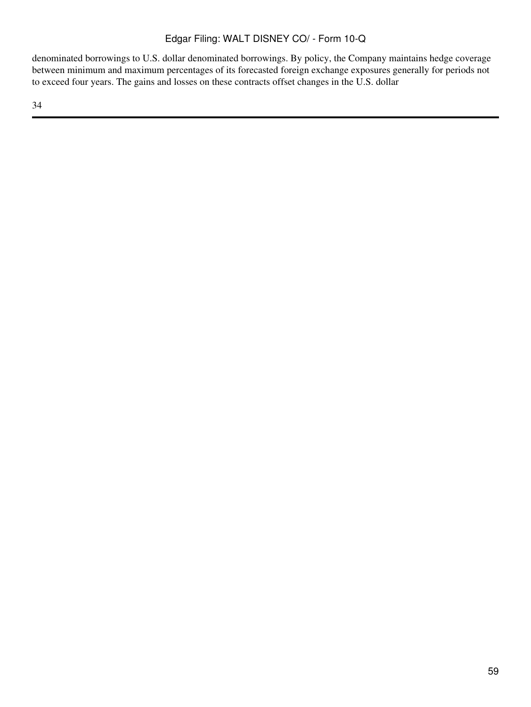denominated borrowings to U.S. dollar denominated borrowings. By policy, the Company maintains hedge coverage between minimum and maximum percentages of its forecasted foreign exchange exposures generally for periods not to exceed four years. The gains and losses on these contracts offset changes in the U.S. dollar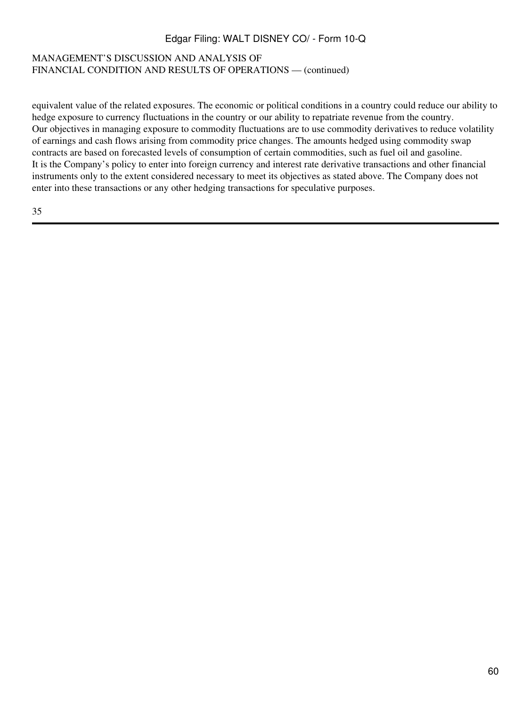# MANAGEMENT'S DISCUSSION AND ANALYSIS OF FINANCIAL CONDITION AND RESULTS OF OPERATIONS — (continued)

equivalent value of the related exposures. The economic or political conditions in a country could reduce our ability to hedge exposure to currency fluctuations in the country or our ability to repatriate revenue from the country. Our objectives in managing exposure to commodity fluctuations are to use commodity derivatives to reduce volatility of earnings and cash flows arising from commodity price changes. The amounts hedged using commodity swap contracts are based on forecasted levels of consumption of certain commodities, such as fuel oil and gasoline. It is the Company's policy to enter into foreign currency and interest rate derivative transactions and other financial instruments only to the extent considered necessary to meet its objectives as stated above. The Company does not enter into these transactions or any other hedging transactions for speculative purposes.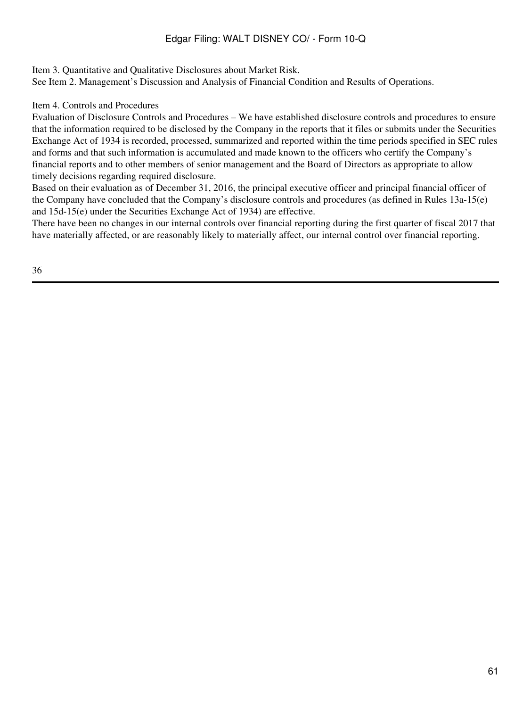Item 3. Quantitative and Qualitative Disclosures about Market Risk. See Item 2. Management's Discussion and Analysis of Financial Condition and Results of Operations.

Item 4. Controls and Procedures

Evaluation of Disclosure Controls and Procedures – We have established disclosure controls and procedures to ensure that the information required to be disclosed by the Company in the reports that it files or submits under the Securities Exchange Act of 1934 is recorded, processed, summarized and reported within the time periods specified in SEC rules and forms and that such information is accumulated and made known to the officers who certify the Company's financial reports and to other members of senior management and the Board of Directors as appropriate to allow timely decisions regarding required disclosure.

Based on their evaluation as of December 31, 2016, the principal executive officer and principal financial officer of the Company have concluded that the Company's disclosure controls and procedures (as defined in Rules 13a-15(e) and 15d-15(e) under the Securities Exchange Act of 1934) are effective.

There have been no changes in our internal controls over financial reporting during the first quarter of fiscal 2017 that have materially affected, or are reasonably likely to materially affect, our internal control over financial reporting.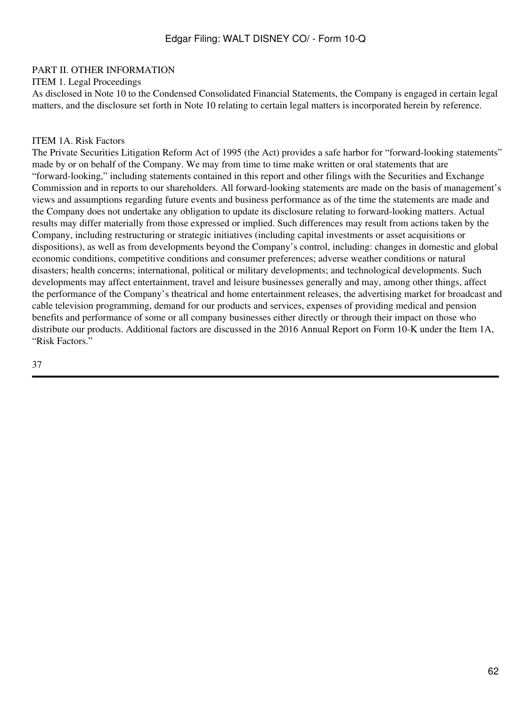## PART II. OTHER INFORMATION

ITEM 1. Legal Proceedings

As disclosed in Note 10 to the Condensed Consolidated Financial Statements, the Company is engaged in certain legal matters, and the disclosure set forth in Note 10 relating to certain legal matters is incorporated herein by reference.

#### ITEM 1A. Risk Factors

The Private Securities Litigation Reform Act of 1995 (the Act) provides a safe harbor for "forward-looking statements" made by or on behalf of the Company. We may from time to time make written or oral statements that are "forward-looking," including statements contained in this report and other filings with the Securities and Exchange Commission and in reports to our shareholders. All forward-looking statements are made on the basis of management's views and assumptions regarding future events and business performance as of the time the statements are made and the Company does not undertake any obligation to update its disclosure relating to forward-looking matters. Actual results may differ materially from those expressed or implied. Such differences may result from actions taken by the Company, including restructuring or strategic initiatives (including capital investments or asset acquisitions or dispositions), as well as from developments beyond the Company's control, including: changes in domestic and global economic conditions, competitive conditions and consumer preferences; adverse weather conditions or natural disasters; health concerns; international, political or military developments; and technological developments. Such developments may affect entertainment, travel and leisure businesses generally and may, among other things, affect the performance of the Company's theatrical and home entertainment releases, the advertising market for broadcast and cable television programming, demand for our products and services, expenses of providing medical and pension benefits and performance of some or all company businesses either directly or through their impact on those who distribute our products. Additional factors are discussed in the 2016 Annual Report on Form 10-K under the Item 1A, "Risk Factors."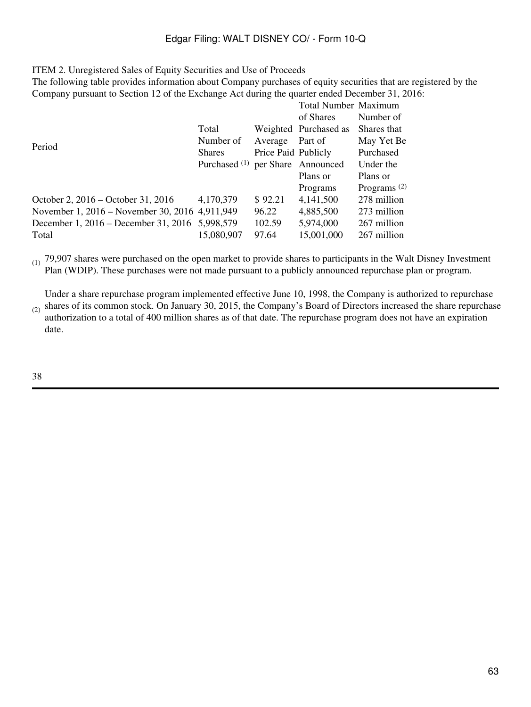ITEM 2. Unregistered Sales of Equity Securities and Use of Proceeds

The following table provides information about Company purchases of equity securities that are registered by the Company pursuant to Section 12 of the Exchange Act during the quarter ended December 31, 2016:

|                                                |         | <b>Total Number Maximum</b> |                                                                                |
|------------------------------------------------|---------|-----------------------------|--------------------------------------------------------------------------------|
|                                                |         | of Shares                   | Number of                                                                      |
| Total                                          |         |                             | Shares that                                                                    |
| Number of                                      | Average |                             | May Yet Be                                                                     |
| <b>Shares</b>                                  |         |                             | Purchased                                                                      |
|                                                |         |                             | Under the                                                                      |
|                                                |         | Plans or                    | Plans or                                                                       |
|                                                |         | Programs                    | Programs $(2)$                                                                 |
| 4,170,379                                      | \$92.21 | 4,141,500                   | 278 million                                                                    |
| November 1, 2016 – November 30, 2016 4,911,949 | 96.22   | 4,885,500                   | 273 million                                                                    |
| December 1, 2016 – December 31, 2016 5,998,579 | 102.59  | 5,974,000                   | 267 million                                                                    |
| 15,080,907                                     | 97.64   | 15,001,000                  | 267 million                                                                    |
|                                                |         | Purchased $(1)$             | Weighted Purchased as<br>Part of<br>Price Paid Publicly<br>per Share Announced |

 $(1)$  79,907 shares were purchased on the open market to provide shares to participants in the Walt Disney Investment Plan (WDIP). These purchases were not made pursuant to a publicly announced repurchase plan or program.

Under a share repurchase program implemented effective June 10, 1998, the Company is authorized to repurchase

 $(2)$  shares of its common stock. On January 30, 2015, the Company's Board of Directors increased the share repurchase authorization to a total of 400 million shares as of that date. The repurchase program does not have an expiration date.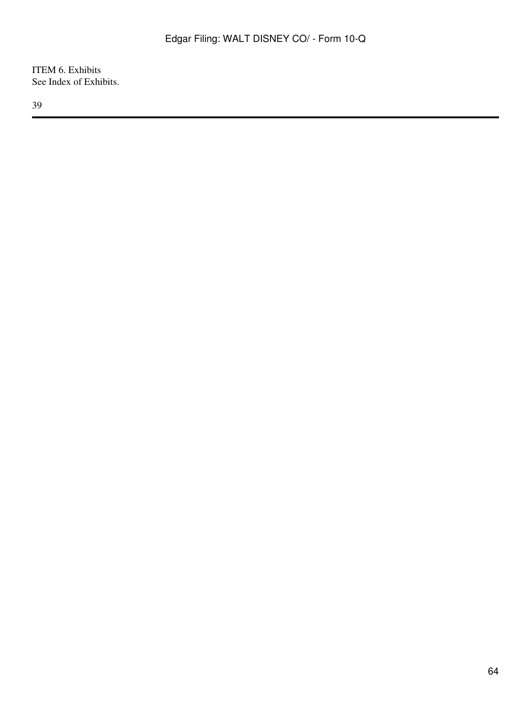ITEM 6. Exhibits See Index of Exhibits.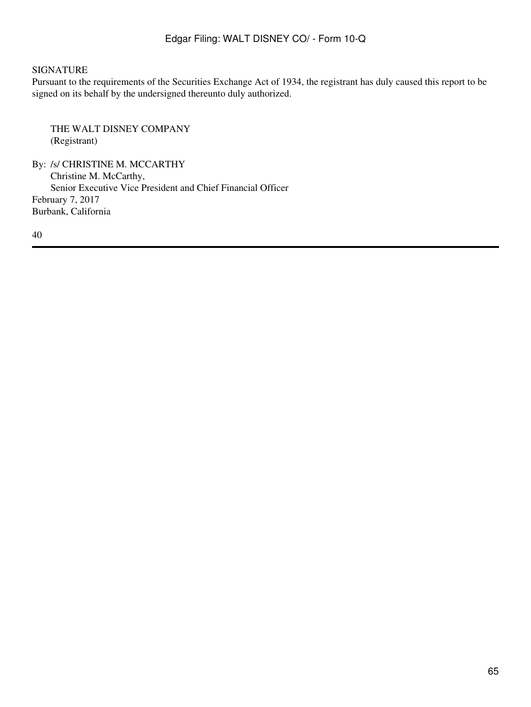## SIGNATURE

Pursuant to the requirements of the Securities Exchange Act of 1934, the registrant has duly caused this report to be signed on its behalf by the undersigned thereunto duly authorized.

THE WALT DISNEY COMPANY (Registrant)

By: /s/ CHRISTINE M. MCCARTHY Christine M. McCarthy, Senior Executive Vice President and Chief Financial Officer February 7, 2017 Burbank, California